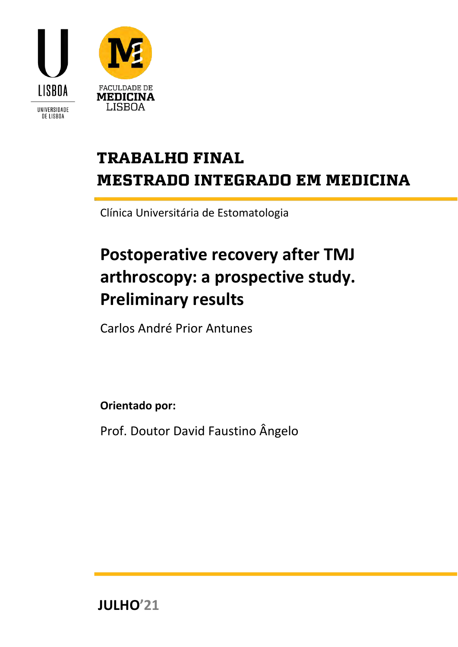



# **TRABALHO FINAL MESTRADO INTEGRADO EM MEDICINA**

Clínica Universitária de Estomatologia

# **Postoperative recovery after TMJ arthroscopy: a prospective study. Preliminary results**

Carlos André Prior Antunes

**Orientado por:**

Prof. Doutor David Faustino Ângelo

**JULHO'21**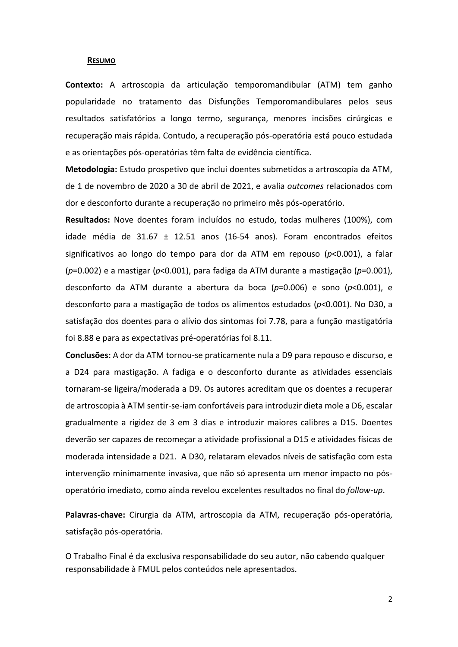#### <span id="page-1-0"></span>**RESUMO**

**Contexto:** A artroscopia da articulação temporomandibular (ATM) tem ganho popularidade no tratamento das Disfunções Temporomandibulares pelos seus resultados satisfatórios a longo termo, segurança, menores incisões cirúrgicas e recuperação mais rápida. Contudo, a recuperação pós-operatória está pouco estudada e as orientações pós-operatórias têm falta de evidência científica.

**Metodologia:** Estudo prospetivo que inclui doentes submetidos a artroscopia da ATM, de 1 de novembro de 2020 a 30 de abril de 2021, e avalia *outcomes* relacionados com dor e desconforto durante a recuperação no primeiro mês pós-operatório.

**Resultados:** Nove doentes foram incluídos no estudo, todas mulheres (100%), com idade média de 31.67 ± 12.51 anos (16-54 anos). Foram encontrados efeitos significativos ao longo do tempo para dor da ATM em repouso (*p*<0.001), a falar (*p*=0.002) e a mastigar (*p*<0.001), para fadiga da ATM durante a mastigação (*p*=0.001), desconforto da ATM durante a abertura da boca (*p*=0.006) e sono (*p*<0.001), e desconforto para a mastigação de todos os alimentos estudados (*p*<0.001). No D30, a satisfação dos doentes para o alívio dos sintomas foi 7.78, para a função mastigatória foi 8.88 e para as expectativas pré-operatórias foi 8.11.

**Conclusões:** A dor da ATM tornou-se praticamente nula a D9 para repouso e discurso, e a D24 para mastigação. A fadiga e o desconforto durante as atividades essenciais tornaram-se ligeira/moderada a D9. Os autores acreditam que os doentes a recuperar de artroscopia à ATM sentir-se-iam confortáveis para introduzir dieta mole a D6, escalar gradualmente a rigidez de 3 em 3 dias e introduzir maiores calibres a D15. Doentes deverão ser capazes de recomeçar a atividade profissional a D15 e atividades físicas de moderada intensidade a D21. A D30, relataram elevados níveis de satisfação com esta intervenção minimamente invasiva, que não só apresenta um menor impacto no pósoperatório imediato, como ainda revelou excelentes resultados no final do *follow-up*.

**Palavras-chave:** Cirurgia da ATM, artroscopia da ATM, recuperação pós-operatória, satisfação pós-operatória.

O Trabalho Final é da exclusiva responsabilidade do seu autor, não cabendo qualquer responsabilidade à FMUL pelos conteúdos nele apresentados.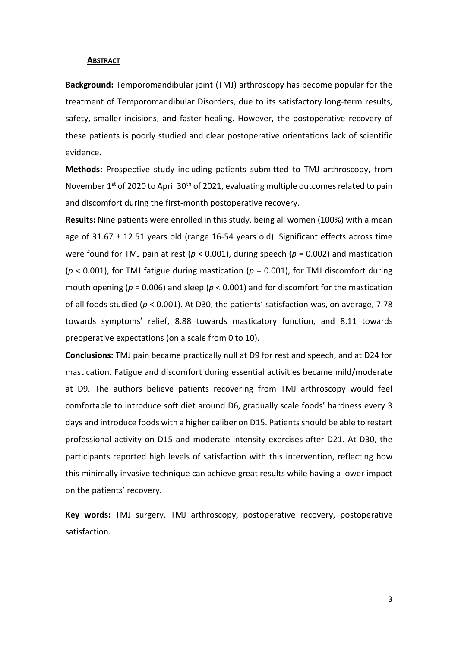#### <span id="page-2-0"></span>**ABSTRACT**

**Background:** Temporomandibular joint (TMJ) arthroscopy has become popular for the treatment of Temporomandibular Disorders, due to its satisfactory long-term results, safety, smaller incisions, and faster healing. However, the postoperative recovery of these patients is poorly studied and clear postoperative orientations lack of scientific evidence.

**Methods:** Prospective study including patients submitted to TMJ arthroscopy, from November  $1^{st}$  of 2020 to April 30<sup>th</sup> of 2021, evaluating multiple outcomes related to pain and discomfort during the first-month postoperative recovery.

**Results:** Nine patients were enrolled in this study, being all women (100%) with a mean age of  $31.67 \pm 12.51$  years old (range 16-54 years old). Significant effects across time were found for TMJ pain at rest (*p* < 0.001), during speech (*p* = 0.002) and mastication (*p* < 0.001), for TMJ fatigue during mastication (*p* = 0.001), for TMJ discomfort during mouth opening ( $p = 0.006$ ) and sleep ( $p < 0.001$ ) and for discomfort for the mastication of all foods studied (*p* < 0.001). At D30, the patients' satisfaction was, on average, 7.78 towards symptoms' relief, 8.88 towards masticatory function, and 8.11 towards preoperative expectations (on a scale from 0 to 10).

**Conclusions:** TMJ pain became practically null at D9 for rest and speech, and at D24 for mastication. Fatigue and discomfort during essential activities became mild/moderate at D9. The authors believe patients recovering from TMJ arthroscopy would feel comfortable to introduce soft diet around D6, gradually scale foods' hardness every 3 days and introduce foods with a higher caliber on D15. Patients should be able to restart professional activity on D15 and moderate-intensity exercises after D21. At D30, the participants reported high levels of satisfaction with this intervention, reflecting how this minimally invasive technique can achieve great results while having a lower impact on the patients' recovery.

**Key words:** TMJ surgery, TMJ arthroscopy, postoperative recovery, postoperative satisfaction.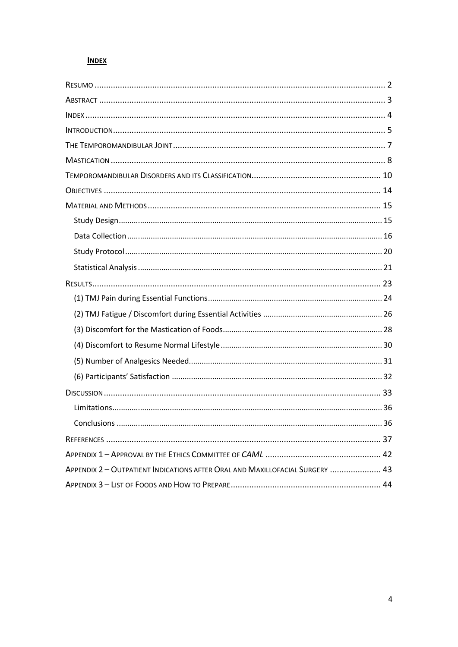# <span id="page-3-0"></span>**INDEX**

| Conclusions<br>36                                                            |
|------------------------------------------------------------------------------|
|                                                                              |
|                                                                              |
| APPENDIX 2 - OUTPATIENT INDICATIONS AFTER ORAL AND MAXILLOFACIAL SURGERY  43 |
|                                                                              |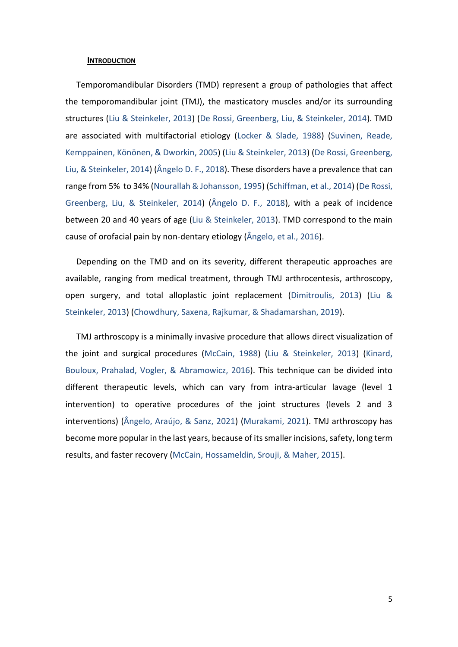#### <span id="page-4-0"></span>**INTRODUCTION**

Temporomandibular Disorders (TMD) represent a group of pathologies that affect the temporomandibular joint (TMJ), the masticatory muscles and/or its surrounding structures (Liu & Steinkeler, 2013) (De Rossi, Greenberg, Liu, & Steinkeler, 2014). TMD are associated with multifactorial etiology (Locker & Slade, 1988) (Suvinen, Reade, Kemppainen, Könönen, & Dworkin, 2005) (Liu & Steinkeler, 2013) (De Rossi, Greenberg, Liu, & Steinkeler, 2014) (Ângelo D. F., 2018). These disorders have a prevalence that can range from 5% to 34% (Nourallah & Johansson, 1995) (Schiffman, et al., 2014) (De Rossi, Greenberg, Liu, & Steinkeler, 2014) (Ângelo D. F., 2018), with a peak of incidence between 20 and 40 years of age (Liu & Steinkeler, 2013). TMD correspond to the main cause of orofacial pain by non-dentary etiology (Ângelo, et al., 2016).

Depending on the TMD and on its severity, different therapeutic approaches are available, ranging from medical treatment, through TMJ arthrocentesis, arthroscopy, open surgery, and total alloplastic joint replacement (Dimitroulis, 2013) (Liu & Steinkeler, 2013) (Chowdhury, Saxena, Rajkumar, & Shadamarshan, 2019).

TMJ arthroscopy is a minimally invasive procedure that allows direct visualization of the joint and surgical procedures (McCain, 1988) (Liu & Steinkeler, 2013) (Kinard, Bouloux, Prahalad, Vogler, & Abramowicz, 2016). This technique can be divided into different therapeutic levels, which can vary from intra-articular lavage (level 1 intervention) to operative procedures of the joint structures (levels 2 and 3 interventions) (Ângelo, Araújo, & Sanz, 2021) (Murakami, 2021). TMJ arthroscopy has become more popular in the last years, because of its smaller incisions, safety, long term results, and faster recovery (McCain, Hossameldin, Srouji, & Maher, 2015).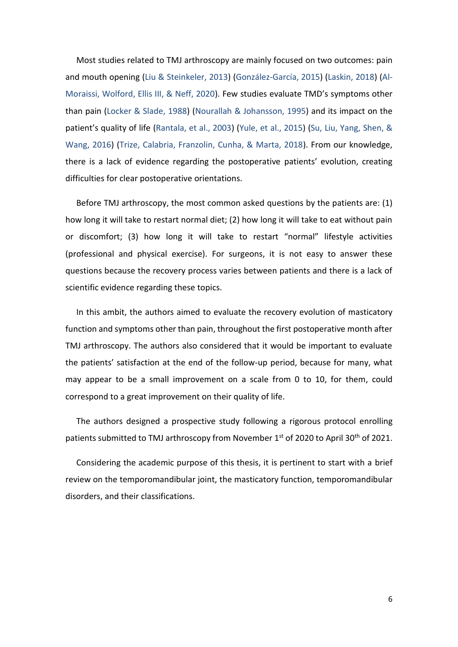Most studies related to TMJ arthroscopy are mainly focused on two outcomes: pain and mouth opening (Liu & Steinkeler, 2013) (González-García, 2015) (Laskin, 2018) (Al-Moraissi, Wolford, Ellis III, & Neff, 2020). Few studies evaluate TMD's symptoms other than pain (Locker & Slade, 1988) (Nourallah & Johansson, 1995) and its impact on the patient's quality of life (Rantala, et al., 2003) (Yule, et al., 2015) (Su, Liu, Yang, Shen, & Wang, 2016) (Trize, Calabria, Franzolin, Cunha, & Marta, 2018). From our knowledge, there is a lack of evidence regarding the postoperative patients' evolution, creating difficulties for clear postoperative orientations.

Before TMJ arthroscopy, the most common asked questions by the patients are: (1) how long it will take to restart normal diet; (2) how long it will take to eat without pain or discomfort; (3) how long it will take to restart "normal" lifestyle activities (professional and physical exercise). For surgeons, it is not easy to answer these questions because the recovery process varies between patients and there is a lack of scientific evidence regarding these topics.

In this ambit, the authors aimed to evaluate the recovery evolution of masticatory function and symptoms other than pain, throughout the first postoperative month after TMJ arthroscopy. The authors also considered that it would be important to evaluate the patients' satisfaction at the end of the follow-up period, because for many, what may appear to be a small improvement on a scale from 0 to 10, for them, could correspond to a great improvement on their quality of life.

The authors designed a prospective study following a rigorous protocol enrolling patients submitted to TMJ arthroscopy from November 1<sup>st</sup> of 2020 to April 30<sup>th</sup> of 2021.

Considering the academic purpose of this thesis, it is pertinent to start with a brief review on the temporomandibular joint, the masticatory function, temporomandibular disorders, and their classifications.

6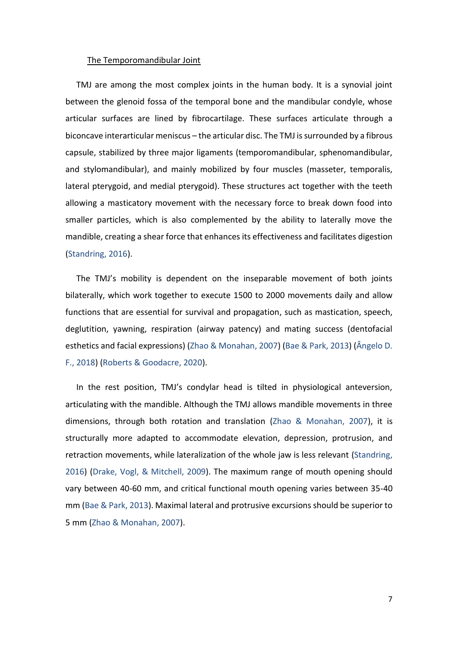#### <span id="page-6-0"></span>The Temporomandibular Joint

TMJ are among the most complex joints in the human body. It is a synovial joint between the glenoid fossa of the temporal bone and the mandibular condyle, whose articular surfaces are lined by fibrocartilage. These surfaces articulate through a biconcave interarticular meniscus – the articular disc. The TMJ is surrounded by a fibrous capsule, stabilized by three major ligaments (temporomandibular, sphenomandibular, and stylomandibular), and mainly mobilized by four muscles (masseter, temporalis, lateral pterygoid, and medial pterygoid). These structures act together with the teeth allowing a masticatory movement with the necessary force to break down food into smaller particles, which is also complemented by the ability to laterally move the mandible, creating a shear force that enhances its effectiveness and facilitates digestion (Standring, 2016).

The TMJ's mobility is dependent on the inseparable movement of both joints bilaterally, which work together to execute 1500 to 2000 movements daily and allow functions that are essential for survival and propagation, such as mastication, speech, deglutition, yawning, respiration (airway patency) and mating success (dentofacial esthetics and facial expressions) (Zhao & Monahan, 2007) (Bae & Park, 2013) (Ângelo D. F., 2018) (Roberts & Goodacre, 2020).

In the rest position, TMJ's condylar head is tilted in physiological anteversion, articulating with the mandible. Although the TMJ allows mandible movements in three dimensions, through both rotation and translation (Zhao & Monahan, 2007), it is structurally more adapted to accommodate elevation, depression, protrusion, and retraction movements, while lateralization of the whole jaw is less relevant (Standring, 2016) (Drake, Vogl, & Mitchell, 2009). The maximum range of mouth opening should vary between 40-60 mm, and critical functional mouth opening varies between 35-40 mm (Bae & Park, 2013). Maximal lateral and protrusive excursions should be superior to 5 mm (Zhao & Monahan, 2007).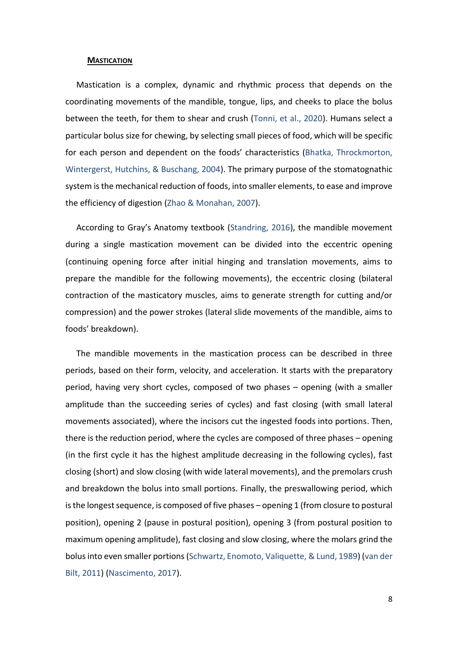#### <span id="page-7-0"></span>**MASTICATION**

Mastication is a complex, dynamic and rhythmic process that depends on the coordinating movements of the mandible, tongue, lips, and cheeks to place the bolus between the teeth, for them to shear and crush (Tonni, et al., 2020). Humans select a particular bolus size for chewing, by selecting small pieces of food, which will be specific for each person and dependent on the foods' characteristics (Bhatka, Throckmorton, Wintergerst, Hutchins, & Buschang, 2004). The primary purpose of the stomatognathic system is the mechanical reduction of foods, into smaller elements, to ease and improve the efficiency of digestion (Zhao & Monahan, 2007).

According to Gray's Anatomy textbook (Standring, 2016), the mandible movement during a single mastication movement can be divided into the eccentric opening (continuing opening force after initial hinging and translation movements, aims to prepare the mandible for the following movements), the eccentric closing (bilateral contraction of the masticatory muscles, aims to generate strength for cutting and/or compression) and the power strokes (lateral slide movements of the mandible, aims to foods' breakdown).

The mandible movements in the mastication process can be described in three periods, based on their form, velocity, and acceleration. It starts with the preparatory period, having very short cycles, composed of two phases – opening (with a smaller amplitude than the succeeding series of cycles) and fast closing (with small lateral movements associated), where the incisors cut the ingested foods into portions. Then, there is the reduction period, where the cycles are composed of three phases – opening (in the first cycle it has the highest amplitude decreasing in the following cycles), fast closing (short) and slow closing (with wide lateral movements), and the premolars crush and breakdown the bolus into small portions. Finally, the preswallowing period, which is the longest sequence, is composed of five phases – opening 1 (from closure to postural position), opening 2 (pause in postural position), opening 3 (from postural position to maximum opening amplitude), fast closing and slow closing, where the molars grind the bolus into even smaller portions (Schwartz, Enomoto, Valiquette, & Lund, 1989) (van der Bilt, 2011) (Nascimento, 2017).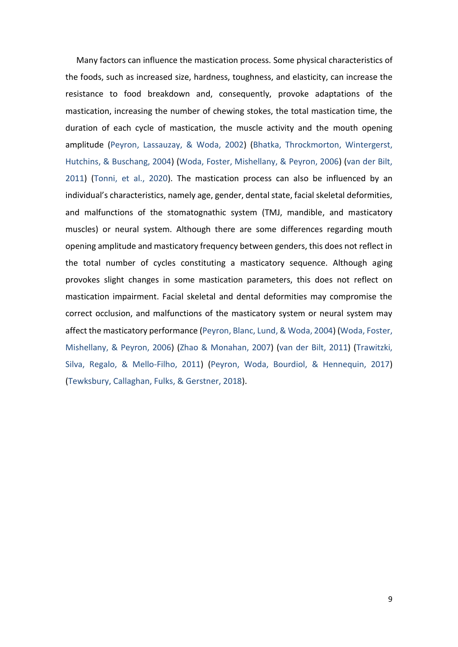Many factors can influence the mastication process. Some physical characteristics of the foods, such as increased size, hardness, toughness, and elasticity, can increase the resistance to food breakdown and, consequently, provoke adaptations of the mastication, increasing the number of chewing stokes, the total mastication time, the duration of each cycle of mastication, the muscle activity and the mouth opening amplitude (Peyron, Lassauzay, & Woda, 2002) (Bhatka, Throckmorton, Wintergerst, Hutchins, & Buschang, 2004) (Woda, Foster, Mishellany, & Peyron, 2006) (van der Bilt, 2011) (Tonni, et al., 2020). The mastication process can also be influenced by an individual's characteristics, namely age, gender, dental state, facial skeletal deformities, and malfunctions of the stomatognathic system (TMJ, mandible, and masticatory muscles) or neural system. Although there are some differences regarding mouth opening amplitude and masticatory frequency between genders, this does not reflect in the total number of cycles constituting a masticatory sequence. Although aging provokes slight changes in some mastication parameters, this does not reflect on mastication impairment. Facial skeletal and dental deformities may compromise the correct occlusion, and malfunctions of the masticatory system or neural system may affect the masticatory performance (Peyron, Blanc, Lund, & Woda, 2004) (Woda, Foster, Mishellany, & Peyron, 2006) (Zhao & Monahan, 2007) (van der Bilt, 2011) (Trawitzki, Silva, Regalo, & Mello-Filho, 2011) (Peyron, Woda, Bourdiol, & Hennequin, 2017) (Tewksbury, Callaghan, Fulks, & Gerstner, 2018).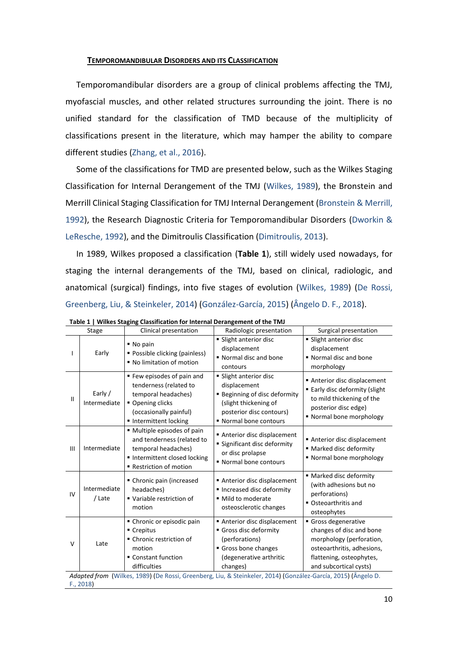## <span id="page-9-0"></span>**TEMPOROMANDIBULAR DISORDERS AND ITS CLASSIFICATION**

Temporomandibular disorders are a group of clinical problems affecting the TMJ, myofascial muscles, and other related structures surrounding the joint. There is no unified standard for the classification of TMD because of the multiplicity of classifications present in the literature, which may hamper the ability to compare different studies (Zhang, et al., 2016).

Some of the classifications for TMD are presented below, such as the Wilkes Staging Classification for Internal Derangement of the TMJ (Wilkes, 1989), the Bronstein and Merrill Clinical Staging Classification for TMJ Internal Derangement (Bronstein & Merrill, 1992), the Research Diagnostic Criteria for Temporomandibular Disorders (Dworkin & LeResche, 1992), and the Dimitroulis Classification (Dimitroulis, 2013).

In 1989, Wilkes proposed a classification (**Table 1**), still widely used nowadays, for staging the internal derangements of the TMJ, based on clinical, radiologic, and anatomical (surgical) findings, into five stages of evolution (Wilkes, 1989) (De Rossi, Greenberg, Liu, & Steinkeler, 2014) (González-García, 2015) (Ângelo D. F., 2018).

|    | Stage                                                                                                         | winds stuging clussification for internal betangement of the fivis<br>Clinical presentation                                                       | Radiologic presentation                                                                                                                                     | Surgical presentation                                                                                                                                          |  |  |  |
|----|---------------------------------------------------------------------------------------------------------------|---------------------------------------------------------------------------------------------------------------------------------------------------|-------------------------------------------------------------------------------------------------------------------------------------------------------------|----------------------------------------------------------------------------------------------------------------------------------------------------------------|--|--|--|
|    | Early                                                                                                         | ■ No pain<br>• Possible clicking (painless)<br>■ No limitation of motion                                                                          | • Slight anterior disc<br>displacement<br>Normal disc and bone<br>contours                                                                                  | • Slight anterior disc<br>displacement<br>Normal disc and bone<br>morphology                                                                                   |  |  |  |
| Ш  | Early /<br>Intermediate                                                                                       | ■ Few episodes of pain and<br>tenderness (related to<br>temporal headaches)<br>• Opening clicks<br>(occasionally painful)<br>Intermittent locking | • Slight anterior disc<br>displacement<br><b>Beginning of disc deformity</b><br>(slight thickening of<br>posterior disc contours)<br>" Normal bone contours | Anterior disc displacement<br>■ Early disc deformity (slight<br>to mild thickening of the<br>posterior disc edge)<br>• Normal bone morphology                  |  |  |  |
| Ш  | Intermediate                                                                                                  | " Multiple episodes of pain<br>and tenderness (related to<br>temporal headaches)<br>Intermittent closed locking<br>Restriction of motion          | Anterior disc displacement<br><b>Significant disc deformity</b><br>or disc prolapse<br>Normal bone contours                                                 | Anterior disc displacement<br>■ Marked disc deformity<br>" Normal bone morphology                                                                              |  |  |  |
| IV | Intermediate<br>/ Late                                                                                        | • Chronic pain (increased<br>headaches)<br>" Variable restriction of<br>motion                                                                    | Anterior disc displacement<br>Increased disc deformity<br>· Mild to moderate<br>osteosclerotic changes                                                      | • Marked disc deformity<br>(with adhesions but no<br>perforations)<br>• Osteoarthritis and<br>osteophytes                                                      |  |  |  |
| V  | Late                                                                                                          | • Chronic or episodic pain<br>Crepitus<br>■ Chronic restriction of<br>motion<br>■ Constant function<br>difficulties                               | Anterior disc displacement<br>Gross disc deformity<br>(perforations)<br>Gross bone changes<br>(degenerative arthritic<br>changes)                           | Gross degenerative<br>changes of disc and bone<br>morphology (perforation,<br>osteoarthritis, adhesions,<br>flattening, osteophytes,<br>and subcortical cysts) |  |  |  |
|    | Adapted from (Wilkes, 1989) (De Rossi, Greenberg, Liu, & Steinkeler, 2014) (González-García, 2015) (Ângelo D. |                                                                                                                                                   |                                                                                                                                                             |                                                                                                                                                                |  |  |  |
|    | F., 2018                                                                                                      |                                                                                                                                                   |                                                                                                                                                             |                                                                                                                                                                |  |  |  |

**Table 1 | Wilkes Staging Classification for Internal Derangement of the TMJ**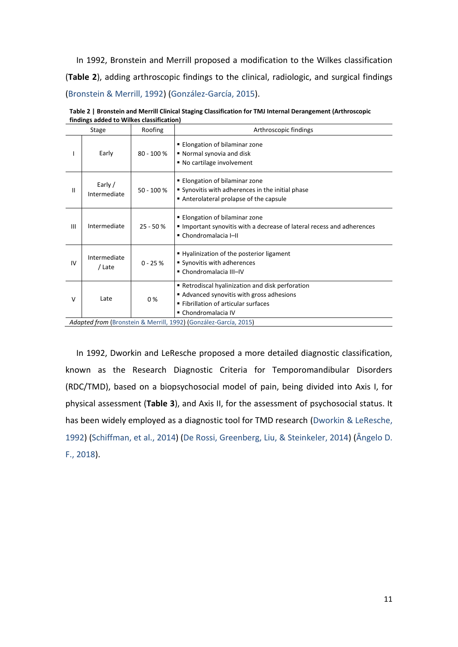In 1992, Bronstein and Merrill proposed a modification to the Wilkes classification (**Table 2**), adding arthroscopic findings to the clinical, radiologic, and surgical findings (Bronstein & Merrill, 1992) (González-García, 2015).

|              | imuligs added to whikes classification)                          |              |                                                                                                                                                            |  |  |  |  |
|--------------|------------------------------------------------------------------|--------------|------------------------------------------------------------------------------------------------------------------------------------------------------------|--|--|--|--|
|              | Stage                                                            | Roofing      | Arthroscopic findings                                                                                                                                      |  |  |  |  |
|              | Early                                                            | $80 - 100 %$ | <b>Elongation of bilaminar zone</b><br>■ Normal synovia and disk<br>■ No cartilage involvement                                                             |  |  |  |  |
| $\mathbf{I}$ | Early /<br>Intermediate                                          | $50 - 100 %$ | ■ Elongation of bilaminar zone<br>Synovitis with adherences in the initial phase<br>Anterolateral prolapse of the capsule                                  |  |  |  |  |
| III          | Intermediate                                                     | $25 - 50%$   | ■ Elongation of bilaminar zone<br>Important synovitis with a decrease of lateral recess and adherences<br>• Chondromalacia I-II                            |  |  |  |  |
| IV           | Intermediate<br>/ Late                                           | $0 - 25 %$   | ■ Hyalinization of the posterior ligament<br>Synovitis with adherences<br>■ Chondromalacia III-IV                                                          |  |  |  |  |
| V            | Late                                                             | 0%           | • Retrodiscal hyalinization and disk perforation<br>Advanced synovitis with gross adhesions<br>■ Fibrillation of articular surfaces<br>■ Chondromalacia IV |  |  |  |  |
|              | Adapted from (Bronstein & Merrill, 1992) (González-García, 2015) |              |                                                                                                                                                            |  |  |  |  |

**Table 2 | Bronstein and Merrill Clinical Staging Classification for TMJ Internal Derangement (Arthroscopic findings added to Wilkes classification)**

In 1992, Dworkin and LeResche proposed a more detailed diagnostic classification, known as the Research Diagnostic Criteria for Temporomandibular Disorders (RDC/TMD), based on a biopsychosocial model of pain, being divided into Axis I, for physical assessment (**Table 3**), and Axis II, for the assessment of psychosocial status. It has been widely employed as a diagnostic tool for TMD research (Dworkin & LeResche, 1992) (Schiffman, et al., 2014) (De Rossi, Greenberg, Liu, & Steinkeler, 2014) (Ângelo D. F., 2018).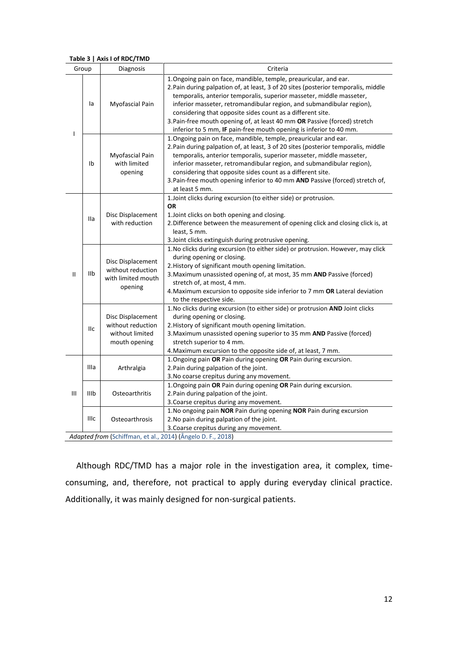#### **Table 3 | Axis I of RDC/TMD**

|              | Group                                                       | Diagnosis                                                                  | Criteria                                                                                                                                                                                                                                                                                                                                                                                                                                                                                                                  |  |  |  |  |
|--------------|-------------------------------------------------------------|----------------------------------------------------------------------------|---------------------------------------------------------------------------------------------------------------------------------------------------------------------------------------------------------------------------------------------------------------------------------------------------------------------------------------------------------------------------------------------------------------------------------------------------------------------------------------------------------------------------|--|--|--|--|
| ı            | la                                                          | Myofascial Pain                                                            | 1. Ongoing pain on face, mandible, temple, preauricular, and ear.<br>2. Pain during palpation of, at least, 3 of 20 sites (posterior temporalis, middle<br>temporalis, anterior temporalis, superior masseter, middle masseter,<br>inferior masseter, retromandibular region, and submandibular region),<br>considering that opposite sides count as a different site.<br>3. Pain-free mouth opening of, at least 40 mm OR Passive (forced) stretch<br>inferior to 5 mm, IF pain-free mouth opening is inferior to 40 mm. |  |  |  |  |
|              | Ib                                                          | Myofascial Pain<br>with limited<br>opening                                 | 1. Ongoing pain on face, mandible, temple, preauricular and ear.<br>2. Pain during palpation of, at least, 3 of 20 sites (posterior temporalis, middle<br>temporalis, anterior temporalis, superior masseter, middle masseter,<br>inferior masseter, retromandibular region, and submandibular region),<br>considering that opposite sides count as a different site.<br>3. Pain-free mouth opening inferior to 40 mm AND Passive (forced) stretch of,<br>at least 5 mm.                                                  |  |  |  |  |
|              | lla                                                         | Disc Displacement<br>with reduction                                        | 1. Joint clicks during excursion (to either side) or protrusion.<br><b>OR</b><br>1. Joint clicks on both opening and closing.<br>2. Difference between the measurement of opening click and closing click is, at<br>least, 5 mm.<br>3. Joint clicks extinguish during protrusive opening.                                                                                                                                                                                                                                 |  |  |  |  |
| $\mathbf{I}$ | IIb                                                         | Disc Displacement<br>without reduction<br>with limited mouth<br>opening    | 1. No clicks during excursion (to either side) or protrusion. However, may click<br>during opening or closing.<br>2. History of significant mouth opening limitation.<br>3. Maximum unassisted opening of, at most, 35 mm AND Passive (forced)<br>stretch of, at most, 4 mm.<br>4. Maximum excursion to opposite side inferior to 7 mm OR Lateral deviation<br>to the respective side.                                                                                                                                    |  |  |  |  |
|              | IIс                                                         | Disc Displacement<br>without reduction<br>without limited<br>mouth opening | 1. No clicks during excursion (to either side) or protrusion AND Joint clicks<br>during opening or closing.<br>2. History of significant mouth opening limitation.<br>3. Maximum unassisted opening superior to 35 mm AND Passive (forced)<br>stretch superior to 4 mm.<br>4. Maximum excursion to the opposite side of, at least, 7 mm.                                                                                                                                                                                  |  |  |  |  |
|              | IIIa                                                        | Arthralgia                                                                 | 1. Ongoing pain OR Pain during opening OR Pain during excursion.<br>2. Pain during palpation of the joint.<br>3. No coarse crepitus during any movement.                                                                                                                                                                                                                                                                                                                                                                  |  |  |  |  |
| Ш            | IIIb                                                        | Osteoarthritis                                                             | 1. Ongoing pain OR Pain during opening OR Pain during excursion.<br>2. Pain during palpation of the joint.<br>3. Coarse crepitus during any movement.                                                                                                                                                                                                                                                                                                                                                                     |  |  |  |  |
|              | <b>IIIc</b>                                                 | Osteoarthrosis                                                             | 1. No ongoing pain NOR Pain during opening NOR Pain during excursion<br>2. No pain during palpation of the joint.<br>3. Coarse crepitus during any movement.                                                                                                                                                                                                                                                                                                                                                              |  |  |  |  |
|              | Adapted from (Schiffman, et al., 2014) (Ângelo D. F., 2018) |                                                                            |                                                                                                                                                                                                                                                                                                                                                                                                                                                                                                                           |  |  |  |  |

Although RDC/TMD has a major role in the investigation area, it complex, timeconsuming, and, therefore, not practical to apply during everyday clinical practice. Additionally, it was mainly designed for non-surgical patients.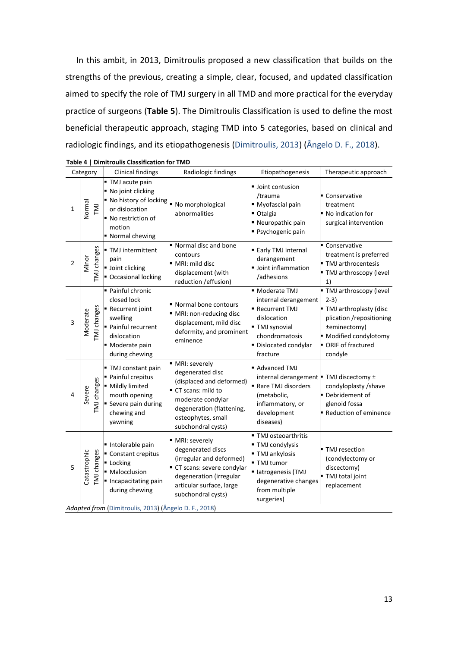In this ambit, in 2013, Dimitroulis proposed a new classification that builds on the strengths of the previous, creating a simple, clear, focused, and updated classification aimed to specify the role of TMJ surgery in all TMD and more practical for the everyday practice of surgeons (**Table 5**). The Dimitroulis Classification is used to define the most beneficial therapeutic approach, staging TMD into 5 categories, based on clinical and radiologic findings, and its etiopathogenesis (Dimitroulis, 2013) (Ângelo D. F., 2018).

| Category    |                                                       | <b>Clinical findings</b>                                                                                                             | Radiologic findings                                                                                                                                                              | Etiopathogenesis                                                                                                                                   | Therapeutic approach                                                                                                                                                   |  |  |  |
|-------------|-------------------------------------------------------|--------------------------------------------------------------------------------------------------------------------------------------|----------------------------------------------------------------------------------------------------------------------------------------------------------------------------------|----------------------------------------------------------------------------------------------------------------------------------------------------|------------------------------------------------------------------------------------------------------------------------------------------------------------------------|--|--|--|
| 1           | Normal<br><b>IN1</b>                                  | TMJ acute pain<br>No joint clicking<br>No history of locking<br>or dislocation<br>No restriction of<br>motion<br>■ Normal chewing    | No morphological<br>abnormalities                                                                                                                                                | Upint contusion<br>/trauma<br>Myofascial pain<br>Otalgia<br>■ Neuropathic pain<br>Psychogenic pain                                                 | Conservative<br>treatment<br>No indication for<br>surgical intervention                                                                                                |  |  |  |
| $\mathbf 2$ | [MJ changes<br>Minor                                  | TMJ intermittent<br>pain<br>Joint clicking<br>Occasional locking                                                                     | Normal disc and bone<br>contours<br>MRI: mild disc<br>displacement (with<br>reduction / effusion)                                                                                | <b>Early TMJ internal</b><br>derangement<br>Joint inflammation<br>/adhesions                                                                       | Conservative<br>treatment is preferred<br>■ TMJ arthrocentesis<br>TMJ arthroscopy (level<br>1)                                                                         |  |  |  |
| 3           | TMJ changes<br>Moderate                               | Painful chronic<br>closed lock<br>Recurrent joint<br>swelling<br>Painful recurrent<br>dislocation<br>Moderate pain<br>during chewing | Normal bone contours<br>MRI: non-reducing disc<br>displacement, mild disc<br>deformity, and prominent<br>eminence                                                                | • Moderate TMJ<br>internal derangement<br>Recurrent TMJ<br>dislocation<br>■ TMJ synovial<br>chondromatosis<br>Dislocated condylar<br>fracture      | " TMJ arthroscopy (level<br>$2-3)$<br>" TMJ arthroplasty (disc<br>plication /repositioning<br>±eminectomy)<br>· Modified condylotomy<br>• ORIF of fractured<br>condyle |  |  |  |
| 4           | TMJ changes<br>Severe                                 | TMJ constant pain<br>Painful crepitus<br>Mildly limited<br>mouth opening<br>Severe pain during<br>chewing and<br>yawning             | MRI: severely<br>degenerated disc<br>(displaced and deformed)<br>CT scans: mild to<br>moderate condylar<br>degeneration (flattening,<br>osteophytes, small<br>subchondral cysts) | Advanced TMJ<br>internal derangement   TMJ discectomy ±<br>Rare TMJ disorders<br>(metabolic,<br>inflammatory, or<br>development<br>diseases)       | condyloplasty / shave<br>• Debridement of<br>glenoid fossa<br>Reduction of eminence                                                                                    |  |  |  |
| 5           | Catastrophic<br><b>TMJ</b> changes                    | · Intolerable pain<br>Constant crepitus<br>Locking<br>Malocclusion<br>Incapacitating pain<br>during chewing                          | MRI: severely<br>degenerated discs<br>(irregular and deformed)<br>CT scans: severe condylar<br>degeneration (irregular<br>articular surface, large<br>subchondral cysts)         | TMJ osteoarthritis<br>TMJ condylysis<br>TMJ ankylosis<br>- TMJ tumor<br>· latrogenesis (TMJ<br>degenerative changes<br>from multiple<br>surgeries) | • TMJ resection<br>(condylectomy or<br>discectomy)<br>TMJ total joint<br>replacement                                                                                   |  |  |  |
|             | Adapted from (Dimitroulis, 2013) (Ângelo D. F., 2018) |                                                                                                                                      |                                                                                                                                                                                  |                                                                                                                                                    |                                                                                                                                                                        |  |  |  |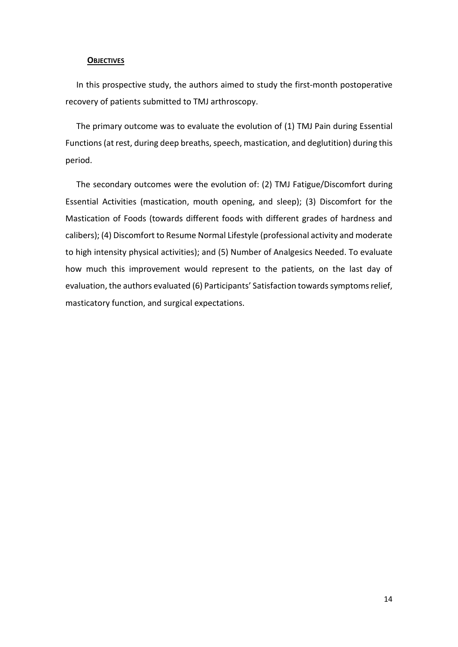## <span id="page-13-0"></span>**OBJECTIVES**

In this prospective study, the authors aimed to study the first-month postoperative recovery of patients submitted to TMJ arthroscopy.

The primary outcome was to evaluate the evolution of (1) TMJ Pain during Essential Functions (at rest, during deep breaths, speech, mastication, and deglutition) during this period.

The secondary outcomes were the evolution of: (2) TMJ Fatigue/Discomfort during Essential Activities (mastication, mouth opening, and sleep); (3) Discomfort for the Mastication of Foods (towards different foods with different grades of hardness and calibers); (4) Discomfort to Resume Normal Lifestyle (professional activity and moderate to high intensity physical activities); and (5) Number of Analgesics Needed. To evaluate how much this improvement would represent to the patients, on the last day of evaluation, the authors evaluated (6) Participants' Satisfaction towards symptoms relief, masticatory function, and surgical expectations.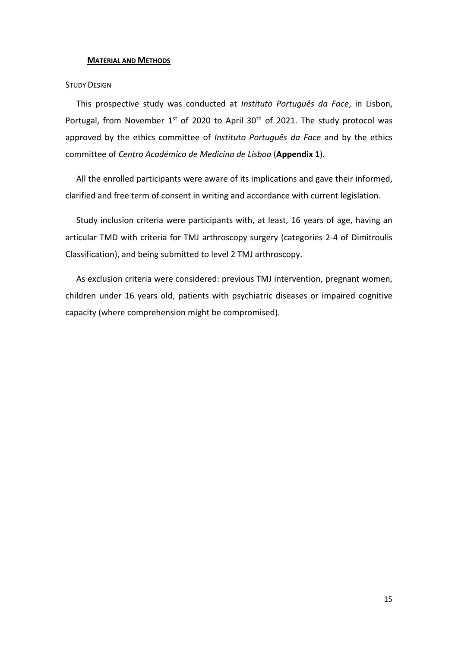### <span id="page-14-0"></span>**MATERIAL AND METHODS**

## <span id="page-14-1"></span>**STUDY DESIGN**

This prospective study was conducted at *Instituto Português da Face*, in Lisbon, Portugal, from November  $1^{st}$  of 2020 to April 30<sup>th</sup> of 2021. The study protocol was approved by the ethics committee of *Instituto Português da Face* and by the ethics committee of *Centro Académico de Medicina de Lisboa* (**Appendix 1**).

All the enrolled participants were aware of its implications and gave their informed, clarified and free term of consent in writing and accordance with current legislation.

Study inclusion criteria were participants with, at least, 16 years of age, having an articular TMD with criteria for TMJ arthroscopy surgery (categories 2-4 of Dimitroulis Classification), and being submitted to level 2 TMJ arthroscopy.

As exclusion criteria were considered: previous TMJ intervention, pregnant women, children under 16 years old, patients with psychiatric diseases or impaired cognitive capacity (where comprehension might be compromised).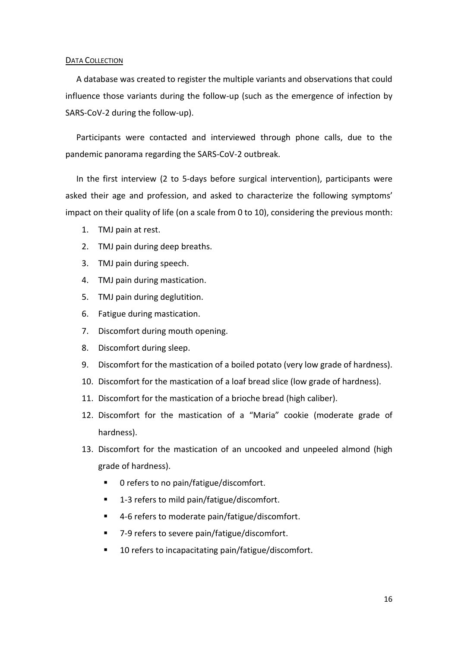## <span id="page-15-0"></span>DATA COLLECTION

A database was created to register the multiple variants and observations that could influence those variants during the follow-up (such as the emergence of infection by SARS-CoV-2 during the follow-up).

Participants were contacted and interviewed through phone calls, due to the pandemic panorama regarding the SARS-CoV-2 outbreak.

In the first interview (2 to 5-days before surgical intervention), participants were asked their age and profession, and asked to characterize the following symptoms' impact on their quality of life (on a scale from 0 to 10), considering the previous month:

- 1. TMJ pain at rest.
- 2. TMJ pain during deep breaths.
- 3. TMJ pain during speech.
- 4. TMJ pain during mastication.
- 5. TMJ pain during deglutition.
- 6. Fatigue during mastication.
- 7. Discomfort during mouth opening.
- 8. Discomfort during sleep.
- 9. Discomfort for the mastication of a boiled potato (very low grade of hardness).
- 10. Discomfort for the mastication of a loaf bread slice (low grade of hardness).
- 11. Discomfort for the mastication of a brioche bread (high caliber).
- 12. Discomfort for the mastication of a "Maria" cookie (moderate grade of hardness).
- 13. Discomfort for the mastication of an uncooked and unpeeled almond (high grade of hardness).
	- 0 refers to no pain/fatigue/discomfort.
	- 1-3 refers to mild pain/fatigue/discomfort.
	- 4-6 refers to moderate pain/fatigue/discomfort.
	- 7-9 refers to severe pain/fatigue/discomfort.
	- 10 refers to incapacitating pain/fatigue/discomfort.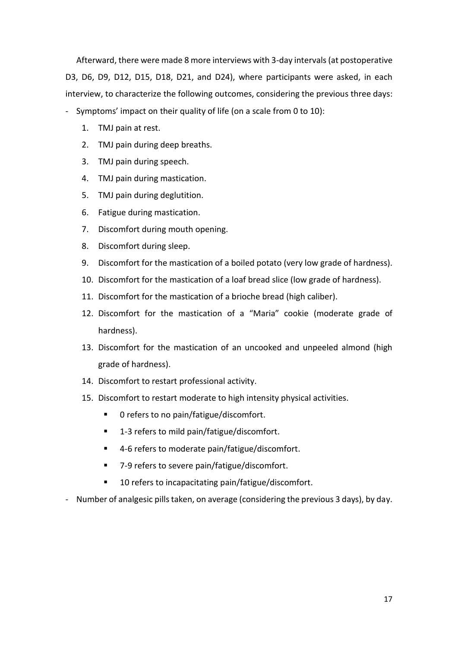Afterward, there were made 8 more interviews with 3-day intervals (at postoperative D3, D6, D9, D12, D15, D18, D21, and D24), where participants were asked, in each interview, to characterize the following outcomes, considering the previous three days:

- Symptoms' impact on their quality of life (on a scale from 0 to 10):

- 1. TMJ pain at rest.
- 2. TMJ pain during deep breaths.
- 3. TMJ pain during speech.
- 4. TMJ pain during mastication.
- 5. TMJ pain during deglutition.
- 6. Fatigue during mastication.
- 7. Discomfort during mouth opening.
- 8. Discomfort during sleep.
- 9. Discomfort for the mastication of a boiled potato (very low grade of hardness).
- 10. Discomfort for the mastication of a loaf bread slice (low grade of hardness).
- 11. Discomfort for the mastication of a brioche bread (high caliber).
- 12. Discomfort for the mastication of a "Maria" cookie (moderate grade of hardness).
- 13. Discomfort for the mastication of an uncooked and unpeeled almond (high grade of hardness).
- 14. Discomfort to restart professional activity.
- 15. Discomfort to restart moderate to high intensity physical activities.
	- 0 refers to no pain/fatigue/discomfort.
	- 1-3 refers to mild pain/fatigue/discomfort.
	- 4-6 refers to moderate pain/fatigue/discomfort.
	- 7-9 refers to severe pain/fatigue/discomfort.
	- 10 refers to incapacitating pain/fatigue/discomfort.
- Number of analgesic pills taken, on average (considering the previous 3 days), by day.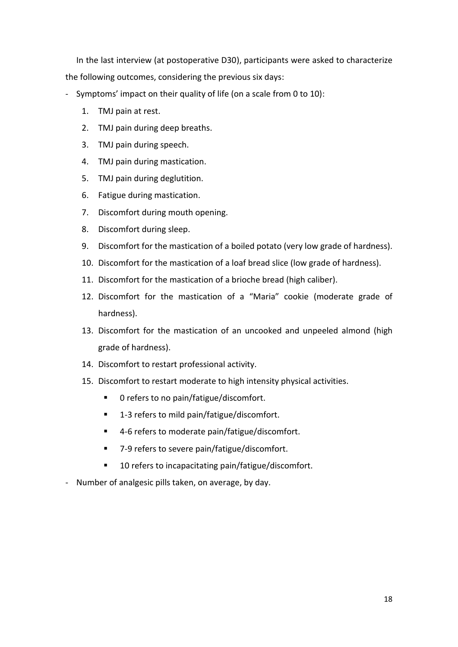In the last interview (at postoperative D30), participants were asked to characterize the following outcomes, considering the previous six days:

- Symptoms' impact on their quality of life (on a scale from 0 to 10):
	- 1. TMJ pain at rest.
	- 2. TMJ pain during deep breaths.
	- 3. TMJ pain during speech.
	- 4. TMJ pain during mastication.
	- 5. TMJ pain during deglutition.
	- 6. Fatigue during mastication.
	- 7. Discomfort during mouth opening.
	- 8. Discomfort during sleep.
	- 9. Discomfort for the mastication of a boiled potato (very low grade of hardness).
	- 10. Discomfort for the mastication of a loaf bread slice (low grade of hardness).
	- 11. Discomfort for the mastication of a brioche bread (high caliber).
	- 12. Discomfort for the mastication of a "Maria" cookie (moderate grade of hardness).
	- 13. Discomfort for the mastication of an uncooked and unpeeled almond (high grade of hardness).
	- 14. Discomfort to restart professional activity.
	- 15. Discomfort to restart moderate to high intensity physical activities.
		- 0 refers to no pain/fatigue/discomfort.
		- 1-3 refers to mild pain/fatigue/discomfort.
		- 4-6 refers to moderate pain/fatigue/discomfort.
		- 7-9 refers to severe pain/fatigue/discomfort.
		- 10 refers to incapacitating pain/fatigue/discomfort.
- Number of analgesic pills taken, on average, by day.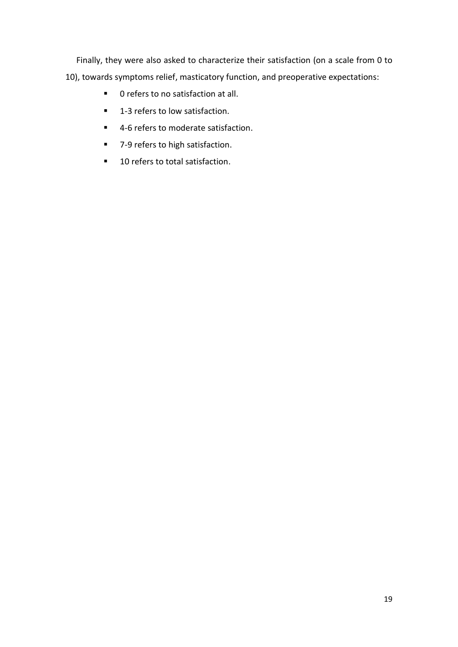Finally, they were also asked to characterize their satisfaction (on a scale from 0 to 10), towards symptoms relief, masticatory function, and preoperative expectations:

- 0 refers to no satisfaction at all.
- 1-3 refers to low satisfaction.
- 4-6 refers to moderate satisfaction.
- 7-9 refers to high satisfaction.
- 10 refers to total satisfaction.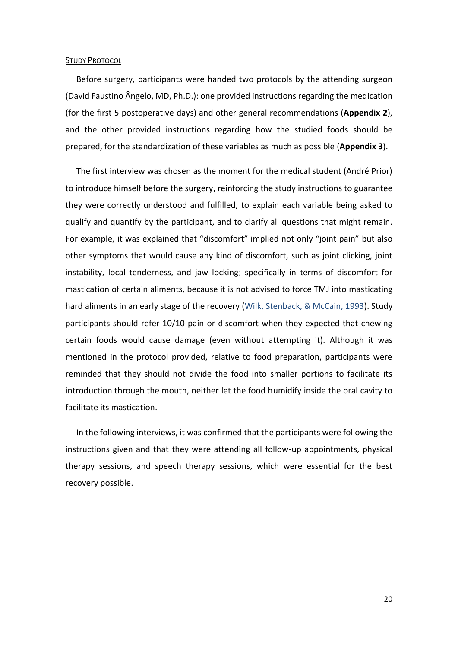#### <span id="page-19-0"></span>STUDY PROTOCOL

Before surgery, participants were handed two protocols by the attending surgeon (David Faustino Ângelo, MD, Ph.D.): one provided instructions regarding the medication (for the first 5 postoperative days) and other general recommendations (**Appendix 2**), and the other provided instructions regarding how the studied foods should be prepared, for the standardization of these variables as much as possible (**Appendix 3**).

The first interview was chosen as the moment for the medical student (André Prior) to introduce himself before the surgery, reinforcing the study instructions to guarantee they were correctly understood and fulfilled, to explain each variable being asked to qualify and quantify by the participant, and to clarify all questions that might remain. For example, it was explained that "discomfort" implied not only "joint pain" but also other symptoms that would cause any kind of discomfort, such as joint clicking, joint instability, local tenderness, and jaw locking; specifically in terms of discomfort for mastication of certain aliments, because it is not advised to force TMJ into masticating hard aliments in an early stage of the recovery (Wilk, Stenback, & McCain, 1993). Study participants should refer 10/10 pain or discomfort when they expected that chewing certain foods would cause damage (even without attempting it). Although it was mentioned in the protocol provided, relative to food preparation, participants were reminded that they should not divide the food into smaller portions to facilitate its introduction through the mouth, neither let the food humidify inside the oral cavity to facilitate its mastication.

In the following interviews, it was confirmed that the participants were following the instructions given and that they were attending all follow-up appointments, physical therapy sessions, and speech therapy sessions, which were essential for the best recovery possible.

20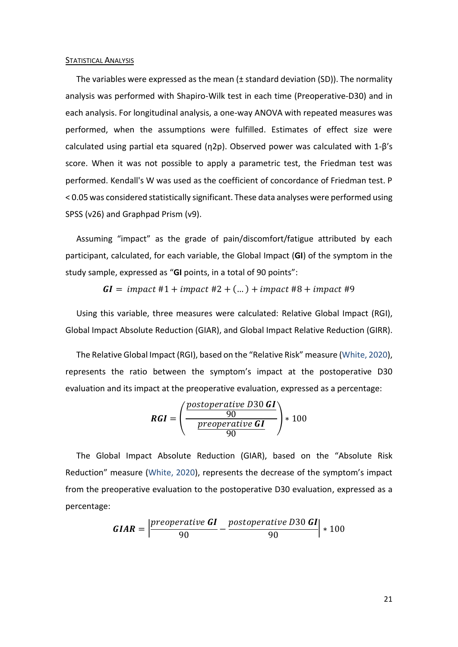#### <span id="page-20-0"></span>STATISTICAL ANALYSIS

The variables were expressed as the mean (± standard deviation (SD)). The normality analysis was performed with Shapiro-Wilk test in each time (Preoperative-D30) and in each analysis. For longitudinal analysis, a one-way ANOVA with repeated measures was performed, when the assumptions were fulfilled. Estimates of effect size were calculated using partial eta squared (η2p). Observed power was calculated with 1-β's score. When it was not possible to apply a parametric test, the Friedman test was performed. Kendall's W was used as the coefficient of concordance of Friedman test. P < 0.05 was considered statistically significant. These data analyses were performed using SPSS (v26) and Graphpad Prism (v9).

Assuming "impact" as the grade of pain/discomfort/fatigue attributed by each participant, calculated, for each variable, the Global Impact (**GI**) of the symptom in the study sample, expressed as "**GI** points, in a total of 90 points":

= #1 + #2 + (… ) + #8 + #9

Using this variable, three measures were calculated: Relative Global Impact (RGI), Global Impact Absolute Reduction (GIAR), and Global Impact Relative Reduction (GIRR).

The Relative Global Impact (RGI), based on the "Relative Risk" measure (White, 2020), represents the ratio between the symptom's impact at the postoperative D30 evaluation and its impact at the preoperative evaluation, expressed as a percentage:

$$
RGI = \left(\frac{\frac{postoperative D30 GI}{90}}{\frac{preoperative GI}{90}}\right) * 100
$$

The Global Impact Absolute Reduction (GIAR), based on the "Absolute Risk Reduction" measure (White, 2020), represents the decrease of the symptom's impact from the preoperative evaluation to the postoperative D30 evaluation, expressed as a percentage:

$$
GIAR = \left| \frac{preoperative \; GI}{90} - \frac{postoperative \; D30 \; GI}{90} \right| * 100
$$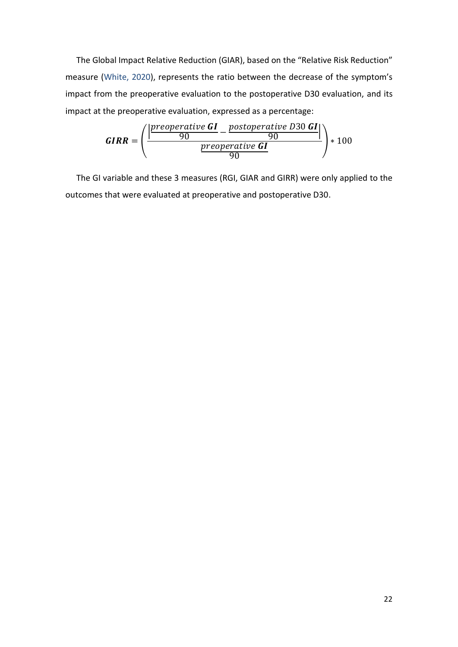The Global Impact Relative Reduction (GIAR), based on the "Relative Risk Reduction" measure (White, 2020), represents the ratio between the decrease of the symptom's impact from the preoperative evaluation to the postoperative D30 evaluation, and its impact at the preoperative evaluation, expressed as a percentage:

$$
GIRR = \left(\frac{\frac{|preoperative \; GI - postoperative \; D30 \; GI|}{90}}{\frac{preoperative \; GI}{90}}\right) * 100
$$

The GI variable and these 3 measures (RGI, GIAR and GIRR) were only applied to the outcomes that were evaluated at preoperative and postoperative D30.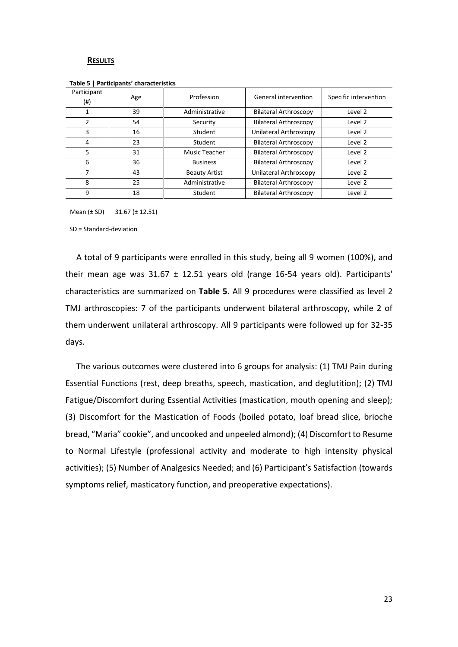#### <span id="page-22-0"></span>**RESULTS**

| Participant<br>$^{(ii)}$ | Age | Profession           | General intervention         | Specific intervention |
|--------------------------|-----|----------------------|------------------------------|-----------------------|
| 1                        | 39  | Administrative       | <b>Bilateral Arthroscopy</b> | Level 2               |
| 2                        | 54  | Security             | <b>Bilateral Arthroscopy</b> | Level 2               |
| 3                        | 16  | Student              | Unilateral Arthroscopy       | Level 2               |
| 4                        | 23  | Student              | <b>Bilateral Arthroscopy</b> | Level 2               |
| 5                        | 31  | Music Teacher        | <b>Bilateral Arthroscopy</b> | Level 2               |
| 6                        | 36  | <b>Business</b>      | <b>Bilateral Arthroscopy</b> | Level 2               |
| 7                        | 43  | <b>Beauty Artist</b> | Unilateral Arthroscopy       | Level 2               |
| 8                        | 25  | Administrative       | <b>Bilateral Arthroscopy</b> | Level 2               |
| 9                        | 18  | Student              | <b>Bilateral Arthroscopy</b> | Level 2               |

**Table 5 | Participants' characteristics**

Mean (± SD) 31.67 (± 12.51)

SD = Standard-deviation

A total of 9 participants were enrolled in this study, being all 9 women (100%), and their mean age was  $31.67 \pm 12.51$  years old (range 16-54 years old). Participants' characteristics are summarized on **Table 5**. All 9 procedures were classified as level 2 TMJ arthroscopies: 7 of the participants underwent bilateral arthroscopy, while 2 of them underwent unilateral arthroscopy. All 9 participants were followed up for 32-35 days.

The various outcomes were clustered into 6 groups for analysis: (1) TMJ Pain during Essential Functions (rest, deep breaths, speech, mastication, and deglutition); (2) TMJ Fatigue/Discomfort during Essential Activities (mastication, mouth opening and sleep); (3) Discomfort for the Mastication of Foods (boiled potato, loaf bread slice, brioche bread, "Maria" cookie", and uncooked and unpeeled almond); (4) Discomfort to Resume to Normal Lifestyle (professional activity and moderate to high intensity physical activities); (5) Number of Analgesics Needed; and (6) Participant's Satisfaction (towards symptoms relief, masticatory function, and preoperative expectations).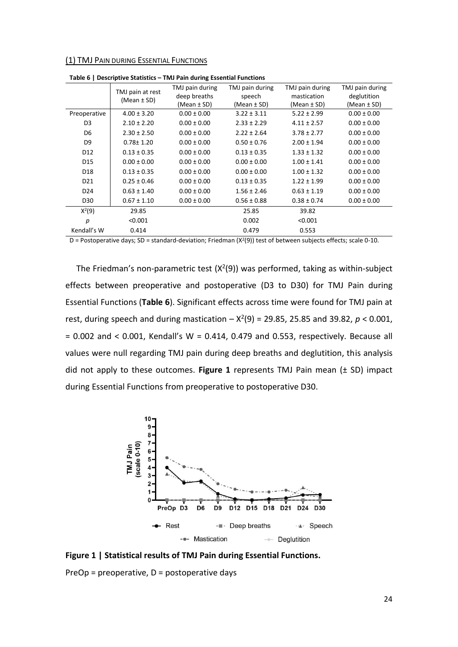<span id="page-23-0"></span>(1) TMJ PAIN DURING ESSENTIAL FUNCTIONS

|                 | TMJ pain at rest | TMJ pain during<br>deep breaths | TMJ pain during | TMJ pain during<br>mastication | TMJ pain during |
|-----------------|------------------|---------------------------------|-----------------|--------------------------------|-----------------|
|                 | (Mean $\pm$ SD)  |                                 | speech          |                                | deglutition     |
|                 |                  | (Mean ± SD)                     | (Mean ± SD)     | (Mean ± SD)                    | (Mean $\pm$ SD) |
| Preoperative    | $4.00 \pm 3.20$  | $0.00 \pm 0.00$                 | $3.22 \pm 3.11$ | $5.22 \pm 2.99$                | $0.00 \pm 0.00$ |
| D <sub>3</sub>  | $2.10 \pm 2.20$  | $0.00 \pm 0.00$                 | $2.33 \pm 2.29$ | $4.11 \pm 2.57$                | $0.00 \pm 0.00$ |
| D6              | $2.30 \pm 2.50$  | $0.00 \pm 0.00$                 | $2.22 \pm 2.64$ | $3.78 \pm 2.77$                | $0.00 \pm 0.00$ |
| D9              | $0.78 \pm 1.20$  | $0.00 \pm 0.00$                 | $0.50 \pm 0.76$ | $2.00 \pm 1.94$                | $0.00 \pm 0.00$ |
| D <sub>12</sub> | $0.13 \pm 0.35$  | $0.00 \pm 0.00$                 | $0.13 \pm 0.35$ | $1.33 \pm 1.32$                | $0.00 \pm 0.00$ |
| D <sub>15</sub> | $0.00 \pm 0.00$  | $0.00 \pm 0.00$                 | $0.00 \pm 0.00$ | $1.00 \pm 1.41$                | $0.00 \pm 0.00$ |
| D <sub>18</sub> | $0.13 \pm 0.35$  | $0.00 \pm 0.00$                 | $0.00 \pm 0.00$ | $1.00 \pm 1.32$                | $0.00 \pm 0.00$ |
| D <sub>21</sub> | $0.25 \pm 0.46$  | $0.00 \pm 0.00$                 | $0.13 \pm 0.35$ | $1.22 \pm 1.99$                | $0.00 \pm 0.00$ |
| D <sub>24</sub> | $0.63 \pm 1.40$  | $0.00 \pm 0.00$                 | $1.56 \pm 2.46$ | $0.63 \pm 1.19$                | $0.00 \pm 0.00$ |
| D30             | $0.67 \pm 1.10$  | $0.00 \pm 0.00$                 | $0.56 \pm 0.88$ | $0.38 \pm 0.74$                | $0.00 \pm 0.00$ |
| $X^2(9)$        | 29.85            |                                 | 25.85           | 39.82                          |                 |
| р               | < 0.001          |                                 | 0.002           | < 0.001                        |                 |
| Kendall's W     | 0.414            |                                 | 0.479           | 0.553                          |                 |

**Table 6 | Descriptive Statistics – TMJ Pain during Essential Functions**

D = Postoperative days; SD = standard-deviation; Friedman ( $X^2(9)$ ) test of between subjects effects; scale 0-10.

The Friedman's non-parametric test  $(X<sup>2</sup>(9))$  was performed, taking as within-subject effects between preoperative and postoperative (D3 to D30) for TMJ Pain during Essential Functions (**Table 6**). Significant effects across time were found for TMJ pain at rest, during speech and during mastication  $- x^2(9) = 29.85$ , 25.85 and 39.82,  $p < 0.001$ ,  $= 0.002$  and  $< 0.001$ , Kendall's W = 0.414, 0.479 and 0.553, respectively. Because all values were null regarding TMJ pain during deep breaths and deglutition, this analysis did not apply to these outcomes. **Figure 1** represents TMJ Pain mean (± SD) impact during Essential Functions from preoperative to postoperative D30.



**Figure 1 | Statistical results of TMJ Pain during Essential Functions.**

PreOp = preoperative, D = postoperative days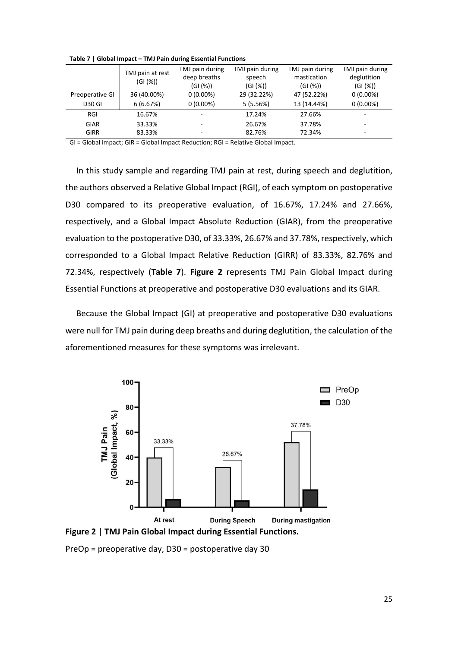|                 | TMJ pain at rest<br>(GI(%)) | TMJ pain during<br>deep breaths<br>(GI (%)) | TMJ pain during<br>speech<br>(GI (%)) | TMJ pain during<br>mastication<br>(GI(%)) | TMJ pain during<br>deglutition<br>(GI (%)) |
|-----------------|-----------------------------|---------------------------------------------|---------------------------------------|-------------------------------------------|--------------------------------------------|
| Preoperative GI | 36 (40.00%)                 | $0(0.00\%)$                                 | 29 (32.22%)                           | 47 (52.22%)                               | $0(0.00\%)$                                |
| <b>D30 GI</b>   | 6(6.67%)                    | $0(0.00\%)$                                 | 5(5.56%)                              | 13 (14.44%)                               | $0(0.00\%)$                                |
| RGI             | 16.67%                      |                                             | 17.24%                                | 27.66%                                    | ٠                                          |
| <b>GIAR</b>     | 33.33%                      |                                             | 26.67%                                | 37.78%                                    | ۰                                          |
| <b>GIRR</b>     | 83.33%                      |                                             | 82.76%                                | 72.34%                                    | ۰                                          |

**Table 7 | Global Impact – TMJ Pain during Essential Functions**

GI = Global impact; GIR = Global Impact Reduction; RGI = Relative Global Impact.

In this study sample and regarding TMJ pain at rest, during speech and deglutition, the authors observed a Relative Global Impact (RGI), of each symptom on postoperative D30 compared to its preoperative evaluation, of 16.67%, 17.24% and 27.66%, respectively, and a Global Impact Absolute Reduction (GIAR), from the preoperative evaluation to the postoperative D30, of 33.33%, 26.67% and 37.78%, respectively, which corresponded to a Global Impact Relative Reduction (GIRR) of 83.33%, 82.76% and 72.34%, respectively (**Table 7**). **Figure 2** represents TMJ Pain Global Impact during Essential Functions at preoperative and postoperative D30 evaluations and its GIAR.

Because the Global Impact (GI) at preoperative and postoperative D30 evaluations were null for TMJ pain during deep breaths and during deglutition, the calculation of the aforementioned measures for these symptoms was irrelevant.



**Figure 2 | TMJ Pain Global Impact during Essential Functions.**

PreOp = preoperative day, D30 = postoperative day 30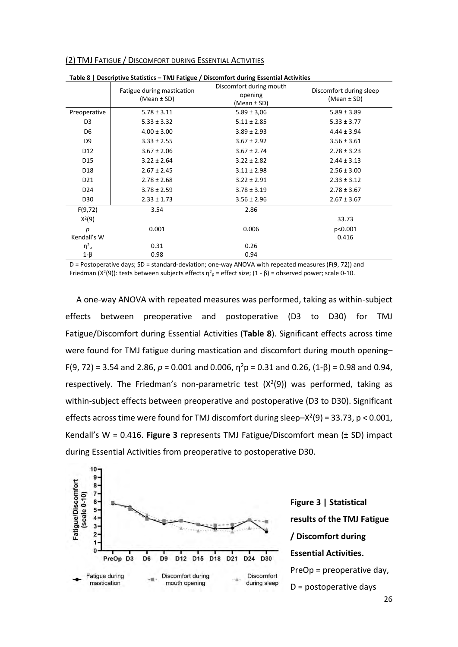| Table 8   Descriptive Statistics - TMJ Fatigue / Discomfort during Essential Activities |                                               |                                                   |                                            |  |  |  |
|-----------------------------------------------------------------------------------------|-----------------------------------------------|---------------------------------------------------|--------------------------------------------|--|--|--|
|                                                                                         | Fatigue during mastication<br>(Mean $\pm$ SD) | Discomfort during mouth<br>opening<br>(Mean ± SD) | Discomfort during sleep<br>(Mean $\pm$ SD) |  |  |  |
| Preoperative                                                                            | $5.78 \pm 3.11$                               | $5.89 \pm 3.06$                                   | $5.89 \pm 3.89$                            |  |  |  |
| D <sub>3</sub>                                                                          | $5.33 \pm 3.32$                               | $5.11 \pm 2.85$                                   | $5.33 \pm 3.77$                            |  |  |  |
| D <sub>6</sub>                                                                          | $4.00 \pm 3.00$                               | $3.89 \pm 2.93$                                   | $4.44 \pm 3.94$                            |  |  |  |
| D <sub>9</sub>                                                                          | $3.33 \pm 2.55$                               | $3.67 \pm 2.92$                                   | $3.56 \pm 3.61$                            |  |  |  |
| D12                                                                                     | $3.67 \pm 2.06$                               | $3.67 \pm 2.74$                                   | $2.78 \pm 3.23$                            |  |  |  |
| D15                                                                                     | $3.22 \pm 2.64$                               | $3.22 \pm 2.82$                                   | $2.44 \pm 3.13$                            |  |  |  |
| D <sub>18</sub>                                                                         | $2.67 \pm 2.45$                               | $3.11 \pm 2.98$                                   | $2.56 \pm 3.00$                            |  |  |  |
| D <sub>21</sub>                                                                         | $2.78 \pm 2.68$                               | $3.22 \pm 2.91$                                   | $2.33 \pm 3.12$                            |  |  |  |
| D <sub>24</sub>                                                                         | $3.78 \pm 2.59$                               | $3.78 \pm 3.19$                                   | $2.78 \pm 3.67$                            |  |  |  |
| D30                                                                                     | $2.33 \pm 1.73$                               | $3.56 \pm 2.96$                                   | $2.67 \pm 3.67$                            |  |  |  |
| F(9,72)                                                                                 | 3.54                                          | 2.86                                              |                                            |  |  |  |
| $X^2(9)$                                                                                |                                               |                                                   | 33.73                                      |  |  |  |
| р                                                                                       | 0.001                                         | 0.006                                             | p<0.001                                    |  |  |  |
| Kendall's W                                                                             |                                               |                                                   | 0.416                                      |  |  |  |
| $\eta^2$ <sub>p</sub>                                                                   | 0.31                                          | 0.26                                              |                                            |  |  |  |
| $1-\beta$                                                                               | 0.98                                          | 0.94                                              |                                            |  |  |  |

<span id="page-25-0"></span>(2) TMJ FATIGUE / DISCOMFORT DURING ESSENTIAL ACTIVITIES

D = Postoperative days; SD = standard-deviation; one-way ANOVA with repeated measures (F(9, 72)) and Friedman (X<sup>2</sup>(9)): tests between subjects effects η<sup>2</sup><sub>p</sub> = effect size; (1 - β) = observed power; scale 0-10.

A one-way ANOVA with repeated measures was performed, taking as within-subject effects between preoperative and postoperative (D3 to D30) for TMJ Fatigue/Discomfort during Essential Activities (**Table 8**). Significant effects across time were found for TMJ fatigue during mastication and discomfort during mouth opening–  $F(9, 72) = 3.54$  and 2.86,  $p = 0.001$  and 0.006,  $n^2p = 0.31$  and 0.26,  $(1-\beta) = 0.98$  and 0.94, respectively. The Friedman's non-parametric test  $(X<sup>2</sup>(9))$  was performed, taking as within-subject effects between preoperative and postoperative (D3 to D30). Significant effects across time were found for TMJ discomfort during sleep $-X^2(9) = 33.73$ , p < 0.001, Kendall's W = 0.416. **Figure 3** represents TMJ Fatigue/Discomfort mean (± SD) impact during Essential Activities from preoperative to postoperative D30.



**Figure 3 | Statistical results of the TMJ Fatigue / Discomfort during Essential Activities.** PreOp = preoperative day, D = postoperative days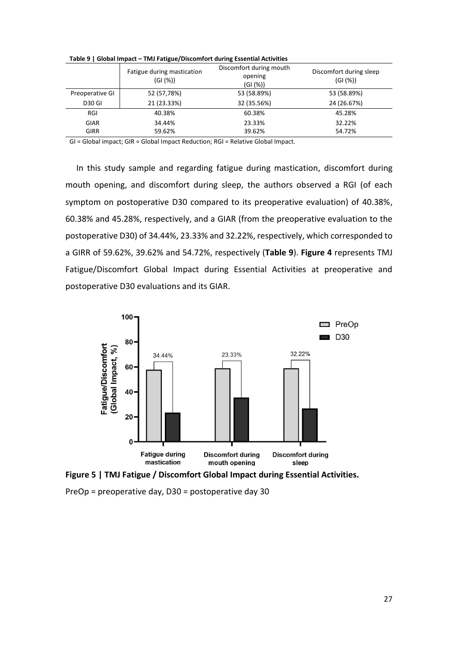|                 | Fatigue during mastication<br>(GI(%)) | Discomfort during mouth<br>opening<br>(GI (%)) | Discomfort during sleep<br>(G1(%)) |
|-----------------|---------------------------------------|------------------------------------------------|------------------------------------|
| Preoperative GI | 52 (57,78%)                           | 53 (58.89%)                                    | 53 (58.89%)                        |
| <b>D30 GI</b>   | 21 (23.33%)                           | 32 (35.56%)                                    | 24 (26.67%)                        |
| RGI             | 40.38%                                | 60.38%                                         | 45.28%                             |
| <b>GIAR</b>     | 34.44%                                | 23.33%                                         | 32.22%                             |
| <b>GIRR</b>     | 59.62%                                | 39.62%                                         | 54.72%                             |

**Table 9 | Global Impact – TMJ Fatigue/Discomfort during Essential Activities**

GI = Global impact; GIR = Global Impact Reduction; RGI = Relative Global Impact.

In this study sample and regarding fatigue during mastication, discomfort during mouth opening, and discomfort during sleep, the authors observed a RGI (of each symptom on postoperative D30 compared to its preoperative evaluation) of 40.38%, 60.38% and 45.28%, respectively, and a GIAR (from the preoperative evaluation to the postoperative D30) of 34.44%, 23.33% and 32.22%, respectively, which corresponded to a GIRR of 59.62%, 39.62% and 54.72%, respectively (**Table 9**). **Figure 4** represents TMJ Fatigue/Discomfort Global Impact during Essential Activities at preoperative and postoperative D30 evaluations and its GIAR.



**Figure 5 | TMJ Fatigue / Discomfort Global Impact during Essential Activities.**

PreOp = preoperative day, D30 = postoperative day 30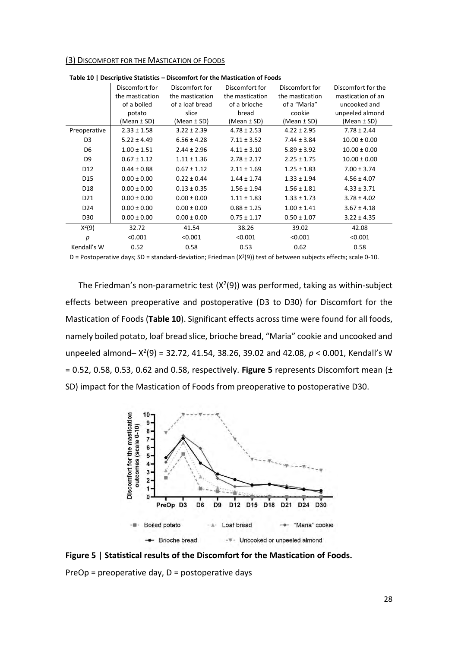<span id="page-27-0"></span>(3) DISCOMFORT FOR THE MASTICATION OF FOODS

|                 | Table 10   Descriptive Statistics |                 |                 |                 |                    |
|-----------------|-----------------------------------|-----------------|-----------------|-----------------|--------------------|
|                 | Discomfort for                    | Discomfort for  | Discomfort for  | Discomfort for  | Discomfort for the |
|                 | the mastication                   | the mastication | the mastication | the mastication | mastication of an  |
|                 | of a boiled                       | of a loaf bread | of a brioche    | of a "Maria"    | uncooked and       |
|                 | potato                            | slice           | bread           | cookie          | unpeeled almond    |
|                 | (Mean ± SD)                       | (Mean $\pm$ SD) | (Mean ± SD)     | $(Mean \pm SD)$ | (Mean $\pm$ SD)    |
| Preoperative    | $2.33 \pm 1.58$                   | $3.22 \pm 2.39$ | $4.78 \pm 2.53$ | $4.22 \pm 2.95$ | $7.78 \pm 2.44$    |
| D <sub>3</sub>  | $5.22 \pm 4.49$                   | $6.56 \pm 4.28$ | $7.11 \pm 3.52$ | $7.44 \pm 3.84$ | $10.00 \pm 0.00$   |
| D <sub>6</sub>  | $1.00 \pm 1.51$                   | $2.44 \pm 2.96$ | $4.11 \pm 3.10$ | $5.89 \pm 3.92$ | $10.00 \pm 0.00$   |
| D <sub>9</sub>  | $0.67 \pm 1.12$                   | $1.11 \pm 1.36$ | $2.78 \pm 2.17$ | $2.25 \pm 1.75$ | $10.00 \pm 0.00$   |
| D <sub>12</sub> | $0.44 \pm 0.88$                   | $0.67 \pm 1.12$ | $2.11 \pm 1.69$ | $1.25 \pm 1.83$ | $7.00 \pm 3.74$    |
| D <sub>15</sub> | $0.00 \pm 0.00$                   | $0.22 \pm 0.44$ | $1.44 \pm 1.74$ | $1.33 \pm 1.94$ | $4.56 \pm 4.07$    |
| D <sub>18</sub> | $0.00 \pm 0.00$                   | $0.13 \pm 0.35$ | $1.56 \pm 1.94$ | $1.56 \pm 1.81$ | $4.33 \pm 3.71$    |
| D <sub>21</sub> | $0.00 \pm 0.00$                   | $0.00 \pm 0.00$ | $1.11 \pm 1.83$ | $1.33 \pm 1.73$ | $3.78 \pm 4.02$    |
| D <sub>24</sub> | $0.00 \pm 0.00$                   | $0.00 \pm 0.00$ | $0.88 \pm 1.25$ | $1.00 \pm 1.41$ | $3.67 \pm 4.18$    |
| D30             | $0.00 \pm 0.00$                   | $0.00 \pm 0.00$ | $0.75 \pm 1.17$ | $0.50 \pm 1.07$ | $3.22 \pm 4.35$    |
| $X^2(9)$        | 32.72                             | 41.54           | 38.26           | 39.02           | 42.08              |
| р               | < 0.001                           | < 0.001         | < 0.001         | < 0.001         | < 0.001            |
| Kendall's W     | 0.52                              | 0.58            | 0.53            | 0.62            | 0.58               |

**Table 10 | Descriptive Statistics – Discomfort for the Mastication of Foods**

D = Postoperative days; SD = standard-deviation; Friedman ( $X^2(9)$ ) test of between subjects effects; scale 0-10.

The Friedman's non-parametric test  $(X<sup>2</sup>(9))$  was performed, taking as within-subject effects between preoperative and postoperative (D3 to D30) for Discomfort for the Mastication of Foods (**Table 10**). Significant effects across time were found for all foods, namely boiled potato, loaf bread slice, brioche bread, "Maria" cookie and uncooked and unpeeled almond-  $X^2(9) = 32.72, 41.54, 38.26, 39.02$  and 42.08,  $p < 0.001$ , Kendall's W = 0.52, 0.58, 0.53, 0.62 and 0.58, respectively. **Figure 5** represents Discomfort mean (± SD) impact for the Mastication of Foods from preoperative to postoperative D30.



**Figure 5 | Statistical results of the Discomfort for the Mastication of Foods.**

 $PreOp = preoperative day, D = postoperative days$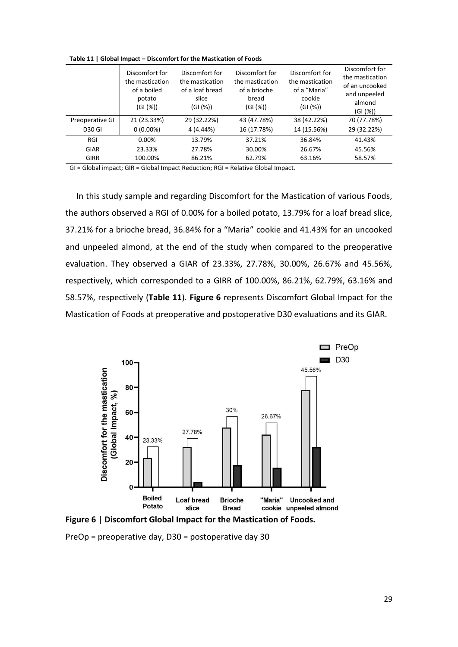|                 | Discomfort for<br>the mastication<br>of a boiled<br>potato<br>(GI (%)) | Discomfort for<br>the mastication<br>of a loaf bread<br>slice<br>(GI (%)) | Discomfort for<br>the mastication<br>of a brioche<br>bread<br>(GI(%)) | Discomfort for<br>the mastication<br>of a "Maria"<br>cookie<br>(GI(%)) | Discomfort for<br>the mastication<br>of an uncooked<br>and unpeeled<br>almond<br>(GI (%)) |
|-----------------|------------------------------------------------------------------------|---------------------------------------------------------------------------|-----------------------------------------------------------------------|------------------------------------------------------------------------|-------------------------------------------------------------------------------------------|
| Preoperative GI | 21 (23.33%)                                                            | 29 (32.22%)                                                               | 43 (47.78%)                                                           | 38 (42.22%)                                                            | 70 (77.78%)                                                                               |
| <b>D30 GI</b>   | $0(0.00\%)$                                                            | 4 (4.44%)                                                                 | 16 (17.78%)                                                           | 14 (15.56%)                                                            | 29 (32.22%)                                                                               |
| RGI             | 0.00%                                                                  | 13.79%                                                                    | 37.21%                                                                | 36.84%                                                                 | 41.43%                                                                                    |
| GIAR            | 23.33%                                                                 | 27.78%                                                                    | 30.00%                                                                | 26.67%                                                                 | 45.56%                                                                                    |
| <b>GIRR</b>     | 100.00%                                                                | 86.21%                                                                    | 62.79%                                                                | 63.16%                                                                 | 58.57%                                                                                    |

**Table 11 | Global Impact – Discomfort for the Mastication of Foods**

GI = Global impact; GIR = Global Impact Reduction; RGI = Relative Global Impact.

In this study sample and regarding Discomfort for the Mastication of various Foods, the authors observed a RGI of 0.00% for a boiled potato, 13.79% for a loaf bread slice, 37.21% for a brioche bread, 36.84% for a "Maria" cookie and 41.43% for an uncooked and unpeeled almond, at the end of the study when compared to the preoperative evaluation. They observed a GIAR of 23.33%, 27.78%, 30.00%, 26.67% and 45.56%, respectively, which corresponded to a GIRR of 100.00%, 86.21%, 62.79%, 63.16% and 58.57%, respectively (**Table 11**). **Figure 6** represents Discomfort Global Impact for the Mastication of Foods at preoperative and postoperative D30 evaluations and its GIAR.



**Figure 6 | Discomfort Global Impact for the Mastication of Foods.**

PreOp = preoperative day, D30 = postoperative day 30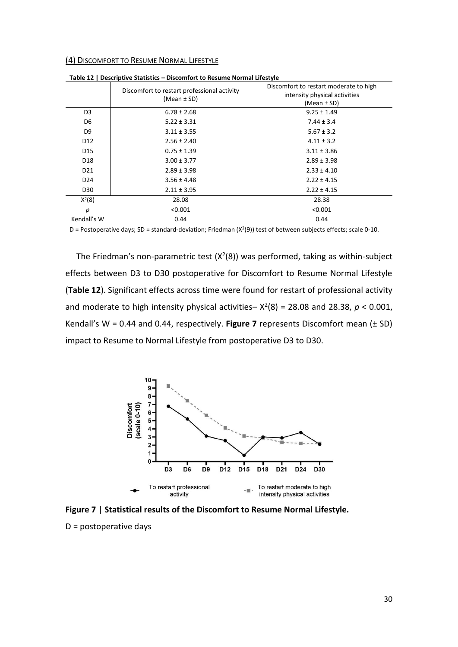#### <span id="page-29-0"></span>(4) DISCOMFORT TO RESUME NORMAL LIFESTYLE

|                 | Discomfort to restart professional activity<br>$(Mean \pm SD)$ | Discomfort to restart moderate to high<br>intensity physical activities<br>$(Mean \pm SD)$ |
|-----------------|----------------------------------------------------------------|--------------------------------------------------------------------------------------------|
| D <sub>3</sub>  | $6.78 \pm 2.68$                                                | $9.25 \pm 1.49$                                                                            |
| D6              | $5.22 \pm 3.31$                                                | $7.44 \pm 3.4$                                                                             |
| D <sub>9</sub>  | $3.11 \pm 3.55$                                                | $5.67 \pm 3.2$                                                                             |
| D <sub>12</sub> | $2.56 \pm 2.40$                                                | $4.11 \pm 3.2$                                                                             |
| D <sub>15</sub> | $0.75 \pm 1.39$                                                | $3.11 \pm 3.86$                                                                            |
| D <sub>18</sub> | $3.00 \pm 3.77$                                                | $2.89 \pm 3.98$                                                                            |
| D <sub>21</sub> | $2.89 \pm 3.98$                                                | $2.33 \pm 4.10$                                                                            |
| D <sub>24</sub> | $3.56 \pm 4.48$                                                | $2.22 \pm 4.15$                                                                            |
| D30             | $2.11 \pm 3.95$                                                | $2.22 \pm 4.15$                                                                            |
| $X^2(8)$        | 28.08                                                          | 28.38                                                                                      |
| р               | < 0.001                                                        | < 0.001                                                                                    |
| Kendall's W     | 0.44                                                           | 0.44                                                                                       |

**Table 12 | Descriptive Statistics – Discomfort to Resume Normal Lifestyle**

D = Postoperative days; SD = standard-deviation; Friedman (X<sup>2</sup> (9)) test of between subjects effects; scale 0-10.

The Friedman's non-parametric test  $(X^2(8))$  was performed, taking as within-subject effects between D3 to D30 postoperative for Discomfort to Resume Normal Lifestyle (**Table 12**). Significant effects across time were found for restart of professional activity and moderate to high intensity physical activities– $X^2(8) = 28.08$  and 28.38,  $p < 0.001$ , Kendall's W = 0.44 and 0.44, respectively. **Figure 7** represents Discomfort mean (± SD) impact to Resume to Normal Lifestyle from postoperative D3 to D30.



**Figure 7 | Statistical results of the Discomfort to Resume Normal Lifestyle.**

D = postoperative days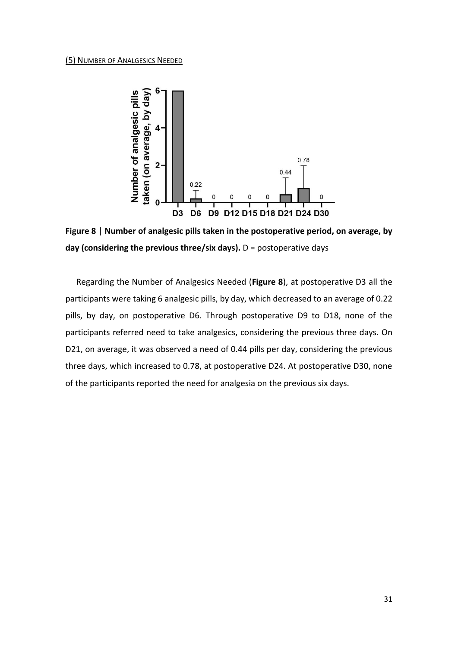#### <span id="page-30-0"></span>(5) NUMBER OF ANALGESICS NEEDED



**Figure 8 | Number of analgesic pills taken in the postoperative period, on average, by day (considering the previous three/six days).** D = postoperative days

Regarding the Number of Analgesics Needed (**Figure 8**), at postoperative D3 all the participants were taking 6 analgesic pills, by day, which decreased to an average of 0.22 pills, by day, on postoperative D6. Through postoperative D9 to D18, none of the participants referred need to take analgesics, considering the previous three days. On D21, on average, it was observed a need of 0.44 pills per day, considering the previous three days, which increased to 0.78, at postoperative D24. At postoperative D30, none of the participants reported the need for analgesia on the previous six days.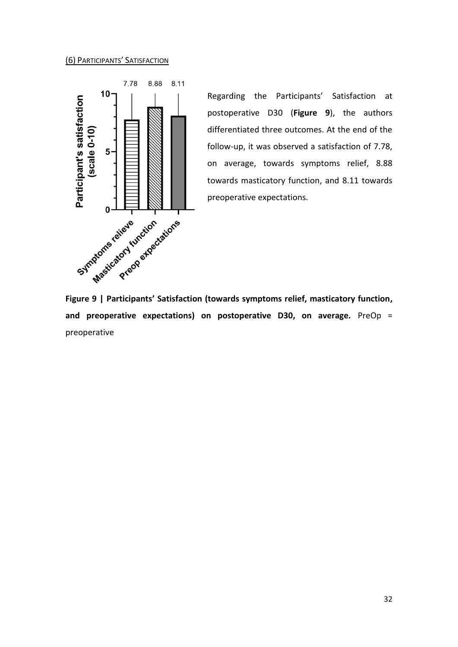## <span id="page-31-0"></span>(6) PARTICIPANTS' SATISFACTION



Regarding the Participants' Satisfaction at postoperative D30 (**Figure 9**), the authors differentiated three outcomes. At the end of the follow-up, it was observed a satisfaction of 7.78, on average, towards symptoms relief, 8.88 towards masticatory function, and 8.11 towards preoperative expectations.

**and preoperative expectations) on postoperative D30, on average.** PreOp = preoperative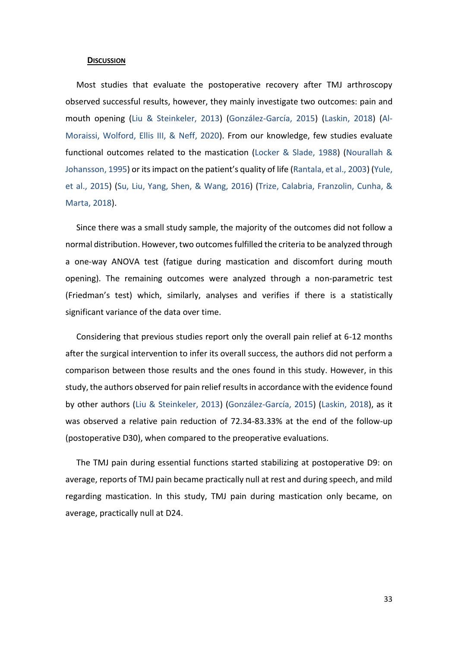#### <span id="page-32-0"></span>**DISCUSSION**

Most studies that evaluate the postoperative recovery after TMJ arthroscopy observed successful results, however, they mainly investigate two outcomes: pain and mouth opening (Liu & Steinkeler, 2013) (González-García, 2015) (Laskin, 2018) (Al-Moraissi, Wolford, Ellis III, & Neff, 2020). From our knowledge, few studies evaluate functional outcomes related to the mastication (Locker & Slade, 1988) (Nourallah & Johansson, 1995) or its impact on the patient's quality of life (Rantala, et al., 2003) (Yule, et al., 2015) (Su, Liu, Yang, Shen, & Wang, 2016) (Trize, Calabria, Franzolin, Cunha, & Marta, 2018).

Since there was a small study sample, the majority of the outcomes did not follow a normal distribution. However, two outcomes fulfilled the criteria to be analyzed through a one-way ANOVA test (fatigue during mastication and discomfort during mouth opening). The remaining outcomes were analyzed through a non-parametric test (Friedman's test) which, similarly, analyses and verifies if there is a statistically significant variance of the data over time.

Considering that previous studies report only the overall pain relief at 6-12 months after the surgical intervention to infer its overall success, the authors did not perform a comparison between those results and the ones found in this study. However, in this study, the authors observed for pain relief results in accordance with the evidence found by other authors (Liu & Steinkeler, 2013) (González-García, 2015) (Laskin, 2018), as it was observed a relative pain reduction of 72.34-83.33% at the end of the follow-up (postoperative D30), when compared to the preoperative evaluations.

The TMJ pain during essential functions started stabilizing at postoperative D9: on average, reports of TMJ pain became practically null at rest and during speech, and mild regarding mastication. In this study, TMJ pain during mastication only became, on average, practically null at D24.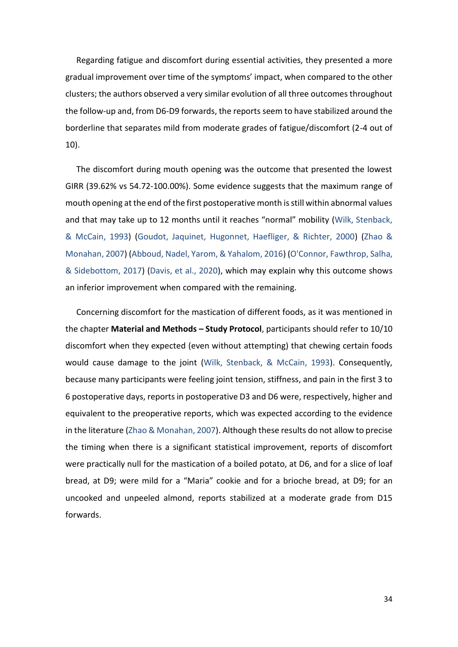Regarding fatigue and discomfort during essential activities, they presented a more gradual improvement over time of the symptoms' impact, when compared to the other clusters; the authors observed a very similar evolution of all three outcomes throughout the follow-up and, from D6-D9 forwards, the reports seem to have stabilized around the borderline that separates mild from moderate grades of fatigue/discomfort (2-4 out of 10).

The discomfort during mouth opening was the outcome that presented the lowest GIRR (39.62% vs 54.72-100.00%). Some evidence suggests that the maximum range of mouth opening at the end of the first postoperative month is still within abnormal values and that may take up to 12 months until it reaches "normal" mobility (Wilk, Stenback, & McCain, 1993) (Goudot, Jaquinet, Hugonnet, Haefliger, & Richter, 2000) (Zhao & Monahan, 2007) (Abboud, Nadel, Yarom, & Yahalom, 2016) (O'Connor, Fawthrop, Salha, & Sidebottom, 2017) (Davis, et al., 2020), which may explain why this outcome shows an inferior improvement when compared with the remaining.

Concerning discomfort for the mastication of different foods, as it was mentioned in the chapter **Material and Methods – Study Protocol**, participants should refer to 10/10 discomfort when they expected (even without attempting) that chewing certain foods would cause damage to the joint (Wilk, Stenback, & McCain, 1993). Consequently, because many participants were feeling joint tension, stiffness, and pain in the first 3 to 6 postoperative days, reports in postoperative D3 and D6 were, respectively, higher and equivalent to the preoperative reports, which was expected according to the evidence in the literature (Zhao & Monahan, 2007). Although these results do not allow to precise the timing when there is a significant statistical improvement, reports of discomfort were practically null for the mastication of a boiled potato, at D6, and for a slice of loaf bread, at D9; were mild for a "Maria" cookie and for a brioche bread, at D9; for an uncooked and unpeeled almond, reports stabilized at a moderate grade from D15 forwards.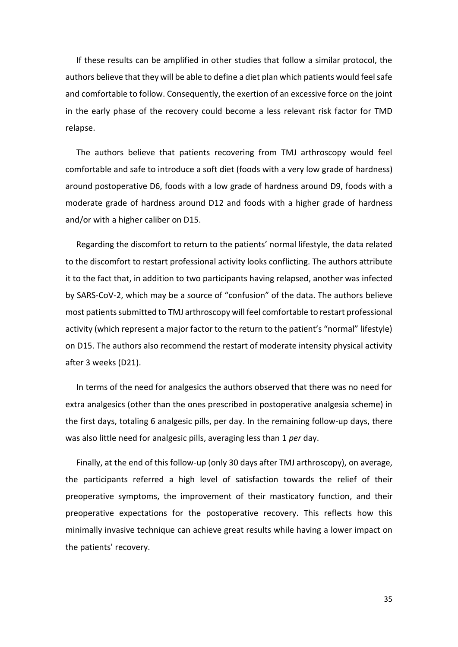If these results can be amplified in other studies that follow a similar protocol, the authors believe that they will be able to define a diet plan which patients would feel safe and comfortable to follow. Consequently, the exertion of an excessive force on the joint in the early phase of the recovery could become a less relevant risk factor for TMD relapse.

The authors believe that patients recovering from TMJ arthroscopy would feel comfortable and safe to introduce a soft diet (foods with a very low grade of hardness) around postoperative D6, foods with a low grade of hardness around D9, foods with a moderate grade of hardness around D12 and foods with a higher grade of hardness and/or with a higher caliber on D15.

Regarding the discomfort to return to the patients' normal lifestyle, the data related to the discomfort to restart professional activity looks conflicting. The authors attribute it to the fact that, in addition to two participants having relapsed, another was infected by SARS-CoV-2, which may be a source of "confusion" of the data. The authors believe most patients submitted to TMJ arthroscopy will feel comfortable to restart professional activity (which represent a major factor to the return to the patient's "normal" lifestyle) on D15. The authors also recommend the restart of moderate intensity physical activity after 3 weeks (D21).

In terms of the need for analgesics the authors observed that there was no need for extra analgesics (other than the ones prescribed in postoperative analgesia scheme) in the first days, totaling 6 analgesic pills, per day. In the remaining follow-up days, there was also little need for analgesic pills, averaging less than 1 *per* day.

Finally, at the end of this follow-up (only 30 days after TMJ arthroscopy), on average, the participants referred a high level of satisfaction towards the relief of their preoperative symptoms, the improvement of their masticatory function, and their preoperative expectations for the postoperative recovery. This reflects how this minimally invasive technique can achieve great results while having a lower impact on the patients' recovery.

35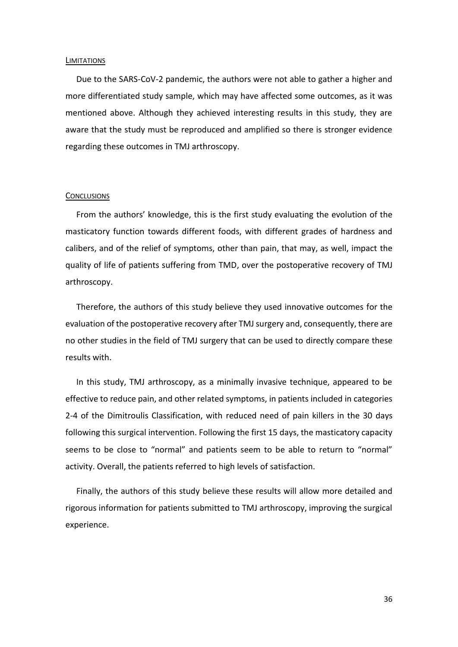#### <span id="page-35-0"></span>**LIMITATIONS**

Due to the SARS-CoV-2 pandemic, the authors were not able to gather a higher and more differentiated study sample, which may have affected some outcomes, as it was mentioned above. Although they achieved interesting results in this study, they are aware that the study must be reproduced and amplified so there is stronger evidence regarding these outcomes in TMJ arthroscopy.

#### <span id="page-35-1"></span>**CONCLUSIONS**

From the authors' knowledge, this is the first study evaluating the evolution of the masticatory function towards different foods, with different grades of hardness and calibers, and of the relief of symptoms, other than pain, that may, as well, impact the quality of life of patients suffering from TMD, over the postoperative recovery of TMJ arthroscopy.

Therefore, the authors of this study believe they used innovative outcomes for the evaluation of the postoperative recovery after TMJ surgery and, consequently, there are no other studies in the field of TMJ surgery that can be used to directly compare these results with.

In this study, TMJ arthroscopy, as a minimally invasive technique, appeared to be effective to reduce pain, and other related symptoms, in patients included in categories 2-4 of the Dimitroulis Classification, with reduced need of pain killers in the 30 days following this surgical intervention. Following the first 15 days, the masticatory capacity seems to be close to "normal" and patients seem to be able to return to "normal" activity. Overall, the patients referred to high levels of satisfaction.

Finally, the authors of this study believe these results will allow more detailed and rigorous information for patients submitted to TMJ arthroscopy, improving the surgical experience.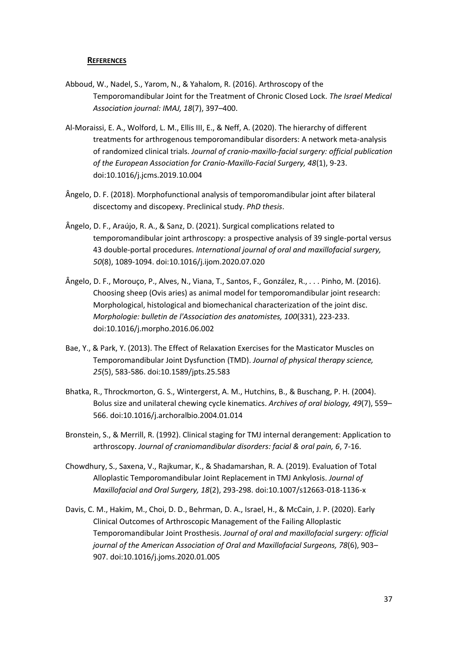## <span id="page-36-0"></span>**REFERENCES**

- Abboud, W., Nadel, S., Yarom, N., & Yahalom, R. (2016). Arthroscopy of the Temporomandibular Joint for the Treatment of Chronic Closed Lock. *The Israel Medical Association journal: IMAJ, 18*(7), 397–400.
- Al-Moraissi, E. A., Wolford, L. M., Ellis III, E., & Neff, A. (2020). The hierarchy of different treatments for arthrogenous temporomandibular disorders: A network meta-analysis of randomized clinical trials. *Journal of cranio-maxillo-facial surgery: official publication of the European Association for Cranio-Maxillo-Facial Surgery, 48*(1), 9-23. doi:10.1016/j.jcms.2019.10.004
- Ângelo, D. F. (2018). Morphofunctional analysis of temporomandibular joint after bilateral discectomy and discopexy. Preclinical study. *PhD thesis*.
- Ângelo, D. F., Araújo, R. A., & Sanz, D. (2021). Surgical complications related to temporomandibular joint arthroscopy: a prospective analysis of 39 single-portal versus 43 double-portal procedures. *International journal of oral and maxillofacial surgery, 50*(8), 1089-1094. doi:10.1016/j.ijom.2020.07.020
- Ângelo, D. F., Morouço, P., Alves, N., Viana, T., Santos, F., González, R., . . . Pinho, M. (2016). Choosing sheep (Ovis aries) as animal model for temporomandibular joint research: Morphological, histological and biomechanical characterization of the joint disc. *Morphologie: bulletin de l'Association des anatomistes, 100*(331), 223-233. doi:10.1016/j.morpho.2016.06.002
- Bae, Y., & Park, Y. (2013). The Effect of Relaxation Exercises for the Masticator Muscles on Temporomandibular Joint Dysfunction (TMD). *Journal of physical therapy science, 25*(5), 583-586. doi:10.1589/jpts.25.583
- Bhatka, R., Throckmorton, G. S., Wintergerst, A. M., Hutchins, B., & Buschang, P. H. (2004). Bolus size and unilateral chewing cycle kinematics. *Archives of oral biology, 49*(7), 559– 566. doi:10.1016/j.archoralbio.2004.01.014
- Bronstein, S., & Merrill, R. (1992). Clinical staging for TMJ internal derangement: Application to arthroscopy. *Journal of craniomandibular disorders: facial & oral pain, 6*, 7-16.
- Chowdhury, S., Saxena, V., Rajkumar, K., & Shadamarshan, R. A. (2019). Evaluation of Total Alloplastic Temporomandibular Joint Replacement in TMJ Ankylosis. *Journal of Maxillofacial and Oral Surgery, 18*(2), 293-298. doi:10.1007/s12663-018-1136-x
- Davis, C. M., Hakim, M., Choi, D. D., Behrman, D. A., Israel, H., & McCain, J. P. (2020). Early Clinical Outcomes of Arthroscopic Management of the Failing Alloplastic Temporomandibular Joint Prosthesis. *Journal of oral and maxillofacial surgery: official journal of the American Association of Oral and Maxillofacial Surgeons, 78*(6), 903– 907. doi:10.1016/j.joms.2020.01.005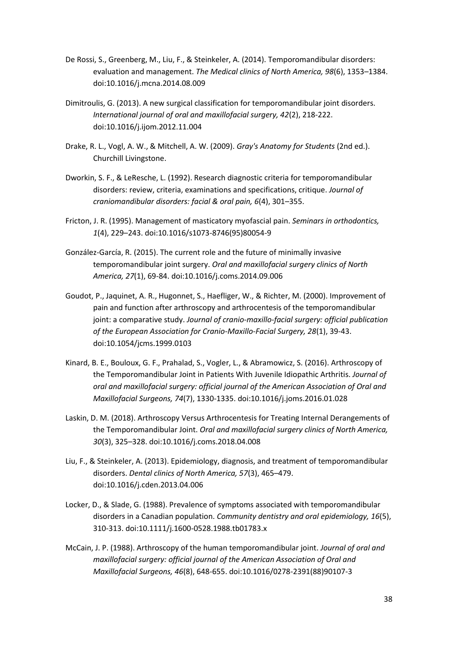- De Rossi, S., Greenberg, M., Liu, F., & Steinkeler, A. (2014). Temporomandibular disorders: evaluation and management. *The Medical clinics of North America, 98*(6), 1353–1384. doi:10.1016/j.mcna.2014.08.009
- Dimitroulis, G. (2013). A new surgical classification for temporomandibular joint disorders. *International journal of oral and maxillofacial surgery, 42*(2), 218-222. doi:10.1016/j.ijom.2012.11.004
- Drake, R. L., Vogl, A. W., & Mitchell, A. W. (2009). *Gray's Anatomy for Students* (2nd ed.). Churchill Livingstone.
- Dworkin, S. F., & LeResche, L. (1992). Research diagnostic criteria for temporomandibular disorders: review, criteria, examinations and specifications, critique. *Journal of craniomandibular disorders: facial & oral pain, 6*(4), 301–355.
- Fricton, J. R. (1995). Management of masticatory myofascial pain. *Seminars in orthodontics, 1*(4), 229–243. doi:10.1016/s1073-8746(95)80054-9
- González-García, R. (2015). The current role and the future of minimally invasive temporomandibular joint surgery. *Oral and maxillofacial surgery clinics of North America, 27*(1), 69-84. doi:10.1016/j.coms.2014.09.006
- Goudot, P., Jaquinet, A. R., Hugonnet, S., Haefliger, W., & Richter, M. (2000). Improvement of pain and function after arthroscopy and arthrocentesis of the temporomandibular joint: a comparative study. *Journal of cranio-maxillo-facial surgery: official publication of the European Association for Cranio-Maxillo-Facial Surgery, 28*(1), 39-43. doi:10.1054/jcms.1999.0103
- Kinard, B. E., Bouloux, G. F., Prahalad, S., Vogler, L., & Abramowicz, S. (2016). Arthroscopy of the Temporomandibular Joint in Patients With Juvenile Idiopathic Arthritis. *Journal of oral and maxillofacial surgery: official journal of the American Association of Oral and Maxillofacial Surgeons, 74*(7), 1330-1335. doi:10.1016/j.joms.2016.01.028
- Laskin, D. M. (2018). Arthroscopy Versus Arthrocentesis for Treating Internal Derangements of the Temporomandibular Joint. *Oral and maxillofacial surgery clinics of North America, 30*(3), 325–328. doi:10.1016/j.coms.2018.04.008
- Liu, F., & Steinkeler, A. (2013). Epidemiology, diagnosis, and treatment of temporomandibular disorders. *Dental clinics of North America, 57*(3), 465–479. doi:10.1016/j.cden.2013.04.006
- Locker, D., & Slade, G. (1988). Prevalence of symptoms associated with temporomandibular disorders in a Canadian population. *Community dentistry and oral epidemiology, 16*(5), 310-313. doi:10.1111/j.1600-0528.1988.tb01783.x
- McCain, J. P. (1988). Arthroscopy of the human temporomandibular joint. *Journal of oral and maxillofacial surgery: official journal of the American Association of Oral and Maxillofacial Surgeons, 46*(8), 648-655. doi:10.1016/0278-2391(88)90107-3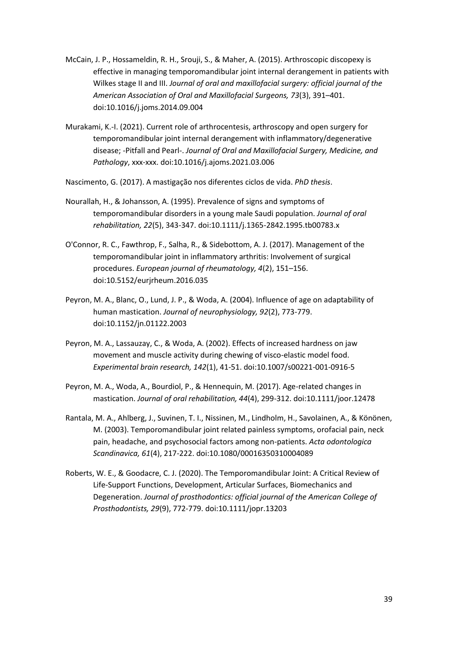- McCain, J. P., Hossameldin, R. H., Srouji, S., & Maher, A. (2015). Arthroscopic discopexy is effective in managing temporomandibular joint internal derangement in patients with Wilkes stage II and III. *Journal of oral and maxillofacial surgery: official journal of the American Association of Oral and Maxillofacial Surgeons, 73*(3), 391–401. doi:10.1016/j.joms.2014.09.004
- Murakami, K.-I. (2021). Current role of arthrocentesis, arthroscopy and open surgery for temporomandibular joint internal derangement with inflammatory/degenerative disease; -Pitfall and Pearl-. *Journal of Oral and Maxillofacial Surgery, Medicine, and Pathology*, xxx-xxx. doi:10.1016/j.ajoms.2021.03.006
- Nascimento, G. (2017). A mastigação nos diferentes ciclos de vida. *PhD thesis*.
- Nourallah, H., & Johansson, A. (1995). Prevalence of signs and symptoms of temporomandibular disorders in a young male Saudi population. *Journal of oral rehabilitation, 22*(5), 343-347. doi:10.1111/j.1365-2842.1995.tb00783.x
- O'Connor, R. C., Fawthrop, F., Salha, R., & Sidebottom, A. J. (2017). Management of the temporomandibular joint in inflammatory arthritis: Involvement of surgical procedures. *European journal of rheumatology, 4*(2), 151–156. doi:10.5152/eurjrheum.2016.035
- Peyron, M. A., Blanc, O., Lund, J. P., & Woda, A. (2004). Influence of age on adaptability of human mastication. *Journal of neurophysiology, 92*(2), 773-779. doi:10.1152/jn.01122.2003
- Peyron, M. A., Lassauzay, C., & Woda, A. (2002). Effects of increased hardness on jaw movement and muscle activity during chewing of visco-elastic model food. *Experimental brain research, 142*(1), 41-51. doi:10.1007/s00221-001-0916-5
- Peyron, M. A., Woda, A., Bourdiol, P., & Hennequin, M. (2017). Age-related changes in mastication. *Journal of oral rehabilitation, 44*(4), 299-312. doi:10.1111/joor.12478
- Rantala, M. A., Ahlberg, J., Suvinen, T. I., Nissinen, M., Lindholm, H., Savolainen, A., & Könönen, M. (2003). Temporomandibular joint related painless symptoms, orofacial pain, neck pain, headache, and psychosocial factors among non-patients. *Acta odontologica Scandinavica, 61*(4), 217-222. doi:10.1080/00016350310004089
- Roberts, W. E., & Goodacre, C. J. (2020). The Temporomandibular Joint: A Critical Review of Life-Support Functions, Development, Articular Surfaces, Biomechanics and Degeneration. *Journal of prosthodontics: official journal of the American College of Prosthodontists, 29*(9), 772-779. doi:10.1111/jopr.13203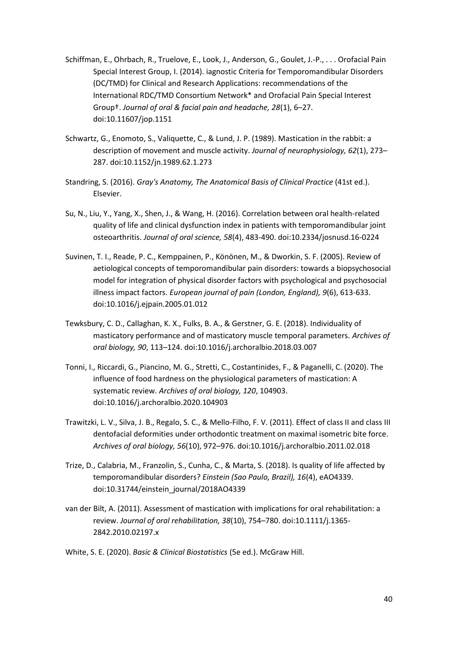- Schiffman, E., Ohrbach, R., Truelove, E., Look, J., Anderson, G., Goulet, J.-P., . . . Orofacial Pain Special Interest Group, I. (2014). iagnostic Criteria for Temporomandibular Disorders (DC/TMD) for Clinical and Research Applications: recommendations of the International RDC/TMD Consortium Network\* and Orofacial Pain Special Interest Group†. *Journal of oral & facial pain and headache, 28*(1), 6–27. doi:10.11607/jop.1151
- Schwartz, G., Enomoto, S., Valiquette, C., & Lund, J. P. (1989). Mastication in the rabbit: a description of movement and muscle activity. *Journal of neurophysiology, 62*(1), 273– 287. doi:10.1152/jn.1989.62.1.273
- Standring, S. (2016). *Gray's Anatomy, The Anatomical Basis of Clinical Practice* (41st ed.). Elsevier.
- Su, N., Liu, Y., Yang, X., Shen, J., & Wang, H. (2016). Correlation between oral health-related quality of life and clinical dysfunction index in patients with temporomandibular joint osteoarthritis. *Journal of oral science, 58*(4), 483-490. doi:10.2334/josnusd.16-0224
- Suvinen, T. I., Reade, P. C., Kemppainen, P., Könönen, M., & Dworkin, S. F. (2005). Review of aetiological concepts of temporomandibular pain disorders: towards a biopsychosocial model for integration of physical disorder factors with psychological and psychosocial illness impact factors. *European journal of pain (London, England), 9*(6), 613-633. doi:10.1016/j.ejpain.2005.01.012
- Tewksbury, C. D., Callaghan, K. X., Fulks, B. A., & Gerstner, G. E. (2018). Individuality of masticatory performance and of masticatory muscle temporal parameters. *Archives of oral biology, 90*, 113–124. doi:10.1016/j.archoralbio.2018.03.007
- Tonni, I., Riccardi, G., Piancino, M. G., Stretti, C., Costantinides, F., & Paganelli, C. (2020). The influence of food hardness on the physiological parameters of mastication: A systematic review. *Archives of oral biology, 120*, 104903. doi:10.1016/j.archoralbio.2020.104903
- Trawitzki, L. V., Silva, J. B., Regalo, S. C., & Mello-Filho, F. V. (2011). Effect of class II and class III dentofacial deformities under orthodontic treatment on maximal isometric bite force. *Archives of oral biology, 56*(10), 972–976. doi:10.1016/j.archoralbio.2011.02.018
- Trize, D., Calabria, M., Franzolin, S., Cunha, C., & Marta, S. (2018). Is quality of life affected by temporomandibular disorders? *Einstein (Sao Paulo, Brazil), 16*(4), eAO4339. doi:10.31744/einstein\_journal/2018AO4339
- van der Bilt, A. (2011). Assessment of mastication with implications for oral rehabilitation: a review. *Journal of oral rehabilitation, 38*(10), 754–780. doi:10.1111/j.1365- 2842.2010.02197.x

White, S. E. (2020). *Basic & Clinical Biostatistics* (5e ed.). McGraw Hill.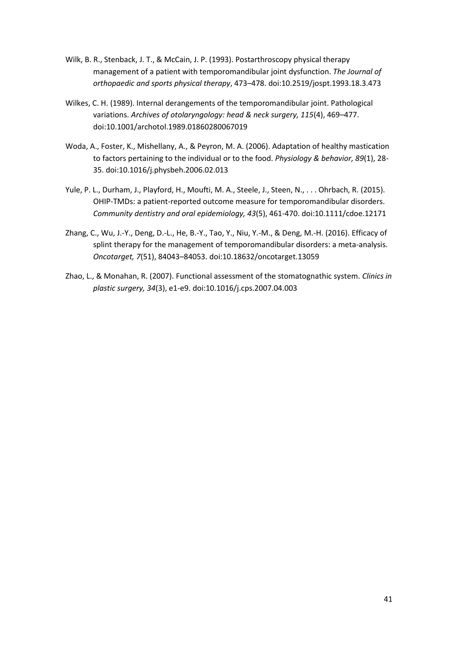- Wilk, B. R., Stenback, J. T., & McCain, J. P. (1993). Postarthroscopy physical therapy management of a patient with temporomandibular joint dysfunction. *The Journal of orthopaedic and sports physical therapy*, 473–478. doi:10.2519/jospt.1993.18.3.473
- Wilkes, C. H. (1989). Internal derangements of the temporomandibular joint. Pathological variations. *Archives of otolaryngology: head & neck surgery, 115*(4), 469–477. doi:10.1001/archotol.1989.01860280067019
- Woda, A., Foster, K., Mishellany, A., & Peyron, M. A. (2006). Adaptation of healthy mastication to factors pertaining to the individual or to the food. *Physiology & behavior, 89*(1), 28- 35. doi:10.1016/j.physbeh.2006.02.013
- Yule, P. L., Durham, J., Playford, H., Moufti, M. A., Steele, J., Steen, N., . . . Ohrbach, R. (2015). OHIP-TMDs: a patient-reported outcome measure for temporomandibular disorders. *Community dentistry and oral epidemiology, 43*(5), 461-470. doi:10.1111/cdoe.12171
- Zhang, C., Wu, J.-Y., Deng, D.-L., He, B.-Y., Tao, Y., Niu, Y.-M., & Deng, M.-H. (2016). Efficacy of splint therapy for the management of temporomandibular disorders: a meta-analysis. *Oncotarget, 7*(51), 84043–84053. doi:10.18632/oncotarget.13059
- Zhao, L., & Monahan, R. (2007). Functional assessment of the stomatognathic system. *Clinics in plastic surgery, 34*(3), e1-e9. doi:10.1016/j.cps.2007.04.003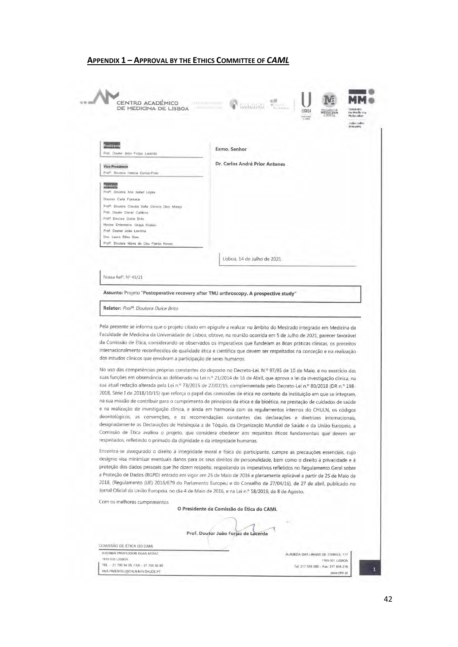#### **APPENDIX 1 – APPROVAL BY THE ETHICS COMMITTEE OF** *CAML*

<span id="page-41-0"></span>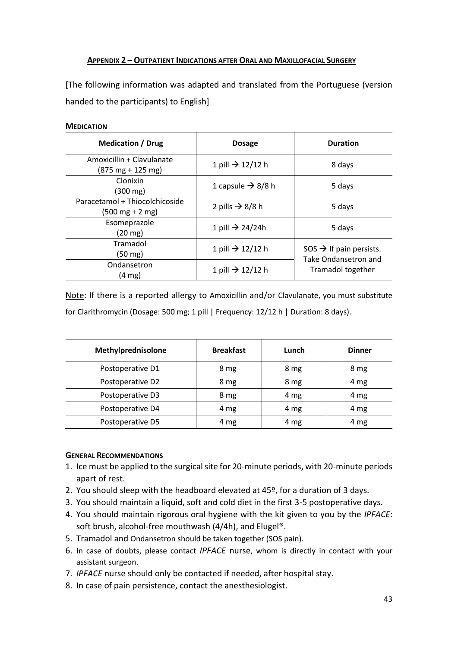# <span id="page-42-0"></span>**APPENDIX 2 – OUTPATIENT INDICATIONS AFTER ORAL AND MAXILLOFACIAL SURGERY**

[The following information was adapted and translated from the Portuguese (version handed to the participants) to English]

## **MEDICATION**

| <b>Medication / Drug</b>                                            | <b>Dosage</b>                 | <b>Duration</b>                                                                  |  |
|---------------------------------------------------------------------|-------------------------------|----------------------------------------------------------------------------------|--|
| Amoxicillin + Clavulanate<br>$(875 \text{ mg} + 125 \text{ mg})$    | 1 pill $\rightarrow$ 12/12 h  | 8 days                                                                           |  |
| Clonixin<br>(300 mg)                                                | 1 capsule $\rightarrow$ 8/8 h | 5 days                                                                           |  |
| Paracetamol + Thiocolchicoside<br>$(500 \text{ mg} + 2 \text{ mg})$ | 2 pills $\rightarrow$ 8/8 h   | 5 days                                                                           |  |
| Esomeprazole<br>$(20 \text{ mg})$                                   | 1 pill $\rightarrow$ 24/24h   | 5 days                                                                           |  |
| Tramadol<br>(50 mg)                                                 | 1 pill $\rightarrow$ 12/12 h  | $SOS \rightarrow$ If pain persists.<br>Take Ondansetron and<br>Tramadol together |  |
| Ondansetron<br>$(4 \text{ mg})$                                     | 1 pill $\rightarrow$ 12/12 h  |                                                                                  |  |

Note: If there is a reported allergy to Amoxicillin and/or Clavulanate, you must substitute for Clarithromycin (Dosage: 500 mg; 1 pill | Frequency: 12/12 h | Duration: 8 days).

| Methylprednisolone | <b>Breakfast</b> | Lunch | <b>Dinner</b> |
|--------------------|------------------|-------|---------------|
| Postoperative D1   | 8 mg             | 8 mg  | 8 mg          |
| Postoperative D2   | 8 mg             | 8 mg  | 4 mg          |
| Postoperative D3   | 8 mg             | 4 mg  | 4 mg          |
| Postoperative D4   | 4 mg             | 4 mg  | 4 mg          |
| Postoperative D5   | 4 mg             | 4 mg  | 4 mg          |

# **GENERAL RECOMMENDATIONS**

- 1. Ice must be applied to the surgical site for 20-minute periods, with 20-minute periods apart of rest.
- 2. You should sleep with the headboard elevated at 45º, for a duration of 3 days.
- 3. You should maintain a liquid, soft and cold diet in the first 3-5 postoperative days.
- 4. You should maintain rigorous oral hygiene with the kit given to you by the *IPFACE*: soft brush, alcohol-free mouthwash (4/4h), and Elugel<sup>®</sup>.
- 5. Tramadol and Ondansetron should be taken together (SOS pain).
- 6. In case of doubts, please contact *IPFACE* nurse, whom is directly in contact with your assistant surgeon.
- 7. *IPFACE* nurse should only be contacted if needed, after hospital stay.
- 8. In case of pain persistence, contact the anesthesiologist.